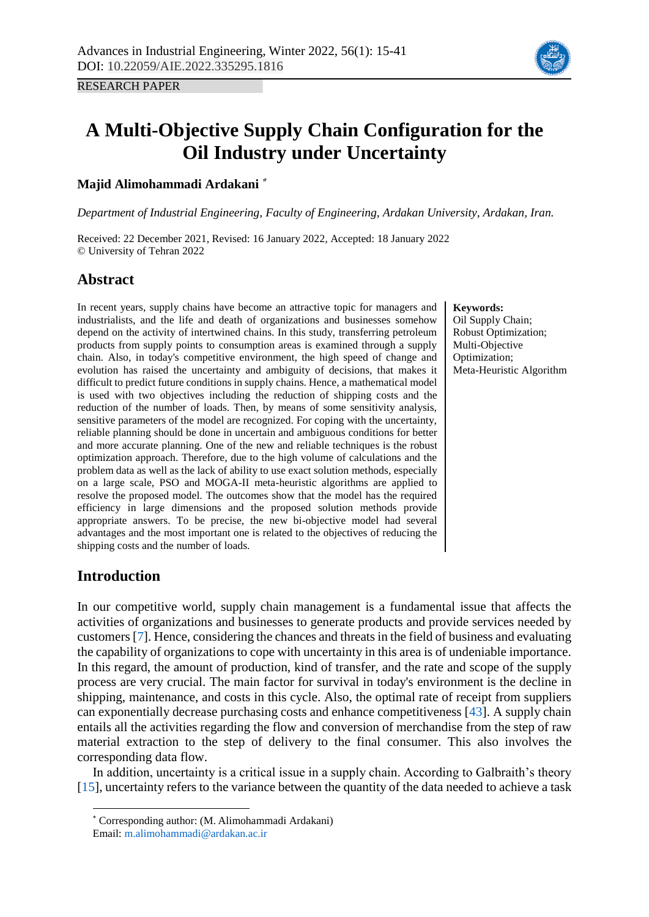RESEARCH PAPER



# **A Multi-Objective Supply Chain Configuration for the Oil Industry under Uncertainty**

**Majid Alimohammadi Ardakani \***

*Department of Industrial Engineering, Faculty of Engineering, Ardakan University, Ardakan, Iran.*

Received: 22 December 2021, Revised: 16 January 2022, Accepted: 18 January 2022 © University of Tehran 2022

# **Abstract**

In recent years, supply chains have become an attractive topic for managers and industrialists, and the life and death of organizations and businesses somehow depend on the activity of intertwined chains. In this study, transferring petroleum products from supply points to consumption areas is examined through a supply chain. Also, in today's competitive environment, the high speed of change and evolution has raised the uncertainty and ambiguity of decisions, that makes it difficult to predict future conditions in supply chains. Hence, a mathematical model is used with two objectives including the reduction of shipping costs and the reduction of the number of loads. Then, by means of some sensitivity analysis, sensitive parameters of the model are recognized. For coping with the uncertainty, reliable planning should be done in uncertain and ambiguous conditions for better and more accurate planning. One of the new and reliable techniques is the robust optimization approach. Therefore, due to the high volume of calculations and the problem data as well as the lack of ability to use exact solution methods, especially on a large scale, PSO and MOGA-II meta-heuristic algorithms are applied to resolve the proposed model. The outcomes show that the model has the required efficiency in large dimensions and the proposed solution methods provide appropriate answers. To be precise, the new bi-objective model had several advantages and the most important one is related to the objectives of reducing the shipping costs and the number of loads.

**Keywords:** Oil Supply Chain; Robust Optimization; Multi-Objective Optimization; Meta-Heuristic Algorithm

# **Introduction**

1

In our competitive world, supply chain management is a fundamental issue that affects the activities of organizations and businesses to generate products and provide services needed by customers [\[7\]](#page-23-0). Hence, considering the chances and threats in the field of business and evaluating the capability of organizations to cope with uncertainty in this area is of undeniable importance. In this regard, the amount of production, kind of transfer, and the rate and scope of the supply process are very crucial. The main factor for survival in today's environment is the decline in shipping, maintenance, and costs in this cycle. Also, the optimal rate of receipt from suppliers can exponentially decrease purchasing costs and enhance competitiveness [\[43\]](#page-25-0). A supply chain entails all the activities regarding the flow and conversion of merchandise from the step of raw material extraction to the step of delivery to the final consumer. This also involves the corresponding data flow.

In addition, uncertainty is a critical issue in a supply chain. According to Galbraith's theory [\[15\]](#page-23-1), uncertainty refers to the variance between the quantity of the data needed to achieve a task

<sup>\*</sup> Corresponding author: (M. Alimohammadi Ardakani)

Email: m.alimohammadi@ardakan.ac.ir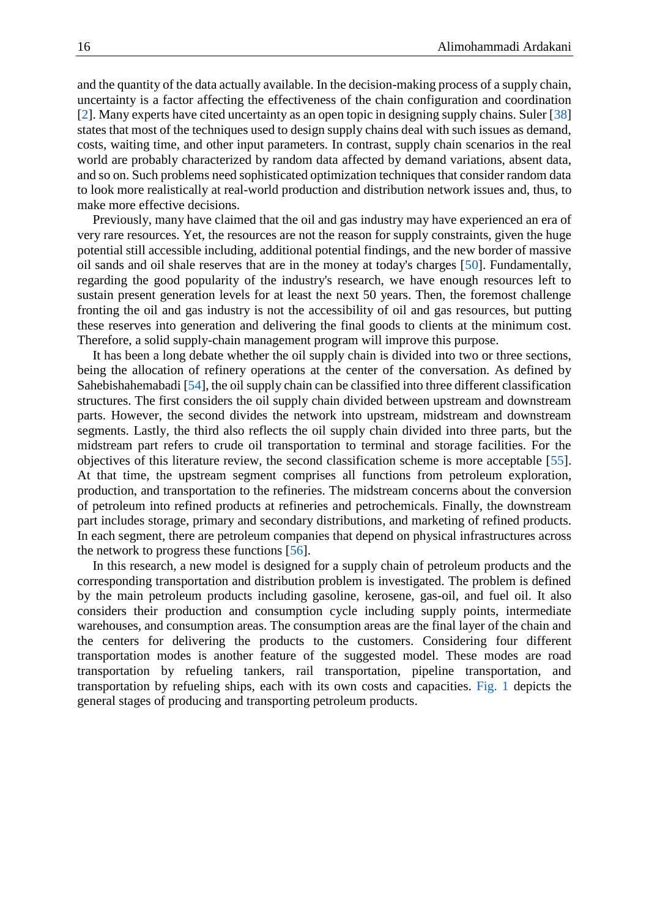and the quantity of the data actually available. In the decision-making process of a supply chain, uncertainty is a factor affecting the effectiveness of the chain configuration and coordination [\[2\]](#page-22-0). Many experts have cited uncertainty as an open topic in designing supply chains. Suler [\[38\]](#page-24-0) states that most of the techniques used to design supply chains deal with such issues as demand, costs, waiting time, and other input parameters. In contrast, supply chain scenarios in the real world are probably characterized by random data affected by demand variations, absent data, and so on. Such problems need sophisticated optimization techniques that consider random data to look more realistically at real-world production and distribution network issues and, thus, to make more effective decisions.

Previously, many have claimed that the oil and gas industry may have experienced an era of very rare resources. Yet, the resources are not the reason for supply constraints, given the huge potential still accessible including, additional potential findings, and the new border of massive oil sands and oil shale reserves that are in the money at today's charges [\[50\]](#page-25-1). Fundamentally, regarding the good popularity of the industry's research, we have enough resources left to sustain present generation levels for at least the next 50 years. Then, the foremost challenge fronting the oil and gas industry is not the accessibility of oil and gas resources, but putting these reserves into generation and delivering the final goods to clients at the minimum cost. Therefore, a solid supply-chain management program will improve this purpose.

It has been a long debate whether the oil supply chain is divided into two or three sections, being the allocation of refinery operations at the center of the conversation. As defined by Sahebishahemabadi [\[54\]](#page-25-2), the oil supply chain can be classified into three different classification structures. The first considers the oil supply chain divided between upstream and downstream parts. However, the second divides the network into upstream, midstream and downstream segments. Lastly, the third also reflects the oil supply chain divided into three parts, but the midstream part refers to crude oil transportation to terminal and storage facilities. For the objectives of this literature review, the second classification scheme is more acceptable [\[55\]](#page-25-3). At that time, the upstream segment comprises all functions from petroleum exploration, production, and transportation to the refineries. The midstream concerns about the conversion of petroleum into refined products at refineries and petrochemicals. Finally, the downstream part includes storage, primary and secondary distributions, and marketing of refined products. In each segment, there are petroleum companies that depend on physical infrastructures across the network to progress these functions [\[56\]](#page-25-3).

In this research, a new model is designed for a supply chain of petroleum products and the corresponding transportation and distribution problem is investigated. The problem is defined by the main petroleum products including gasoline, kerosene, gas-oil, and fuel oil. It also considers their production and consumption cycle including supply points, intermediate warehouses, and consumption areas. The consumption areas are the final layer of the chain and the centers for delivering the products to the customers. Considering four different transportation modes is another feature of the suggested model. These modes are road transportation by refueling tankers, rail transportation, pipeline transportation, and transportation by refueling ships, each with its own costs and capacities. [Fig. 1](#page-2-0) depicts the general stages of producing and transporting petroleum products.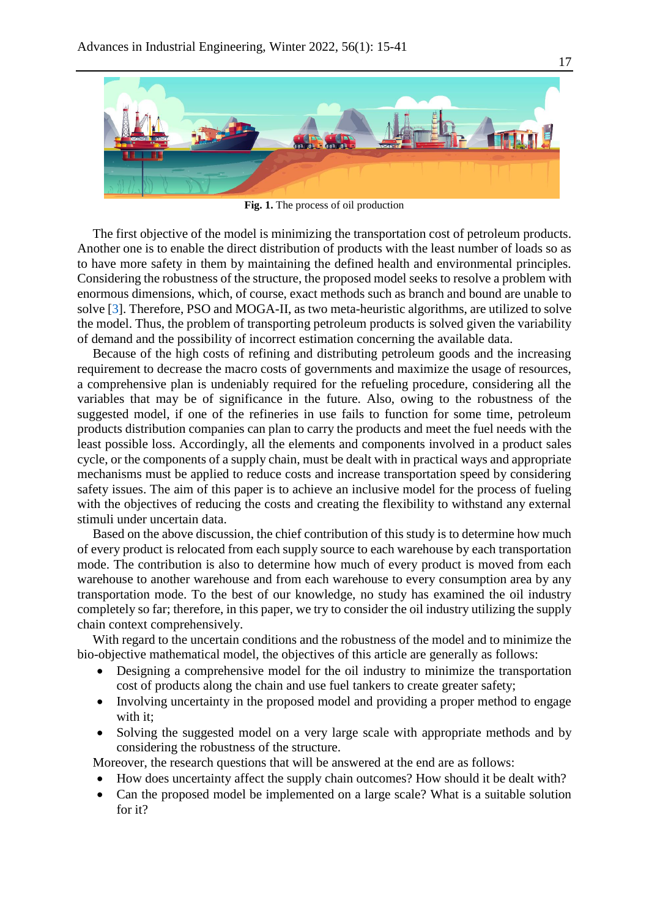<span id="page-2-0"></span>

**Fig. 1.** The process of oil production

The first objective of the model is minimizing the transportation cost of petroleum products. Another one is to enable the direct distribution of products with the least number of loads so as to have more safety in them by maintaining the defined health and environmental principles. Considering the robustness of the structure, the proposed model seeks to resolve a problem with enormous dimensions, which, of course, exact methods such as branch and bound are unable to solve [\[3\]](#page-22-0). Therefore, PSO and MOGA-II, as two meta-heuristic algorithms, are utilized to solve the model. Thus, the problem of transporting petroleum products is solved given the variability of demand and the possibility of incorrect estimation concerning the available data.

Because of the high costs of refining and distributing petroleum goods and the increasing requirement to decrease the macro costs of governments and maximize the usage of resources, a comprehensive plan is undeniably required for the refueling procedure, considering all the variables that may be of significance in the future. Also, owing to the robustness of the suggested model, if one of the refineries in use fails to function for some time, petroleum products distribution companies can plan to carry the products and meet the fuel needs with the least possible loss. Accordingly, all the elements and components involved in a product sales cycle, or the components of a supply chain, must be dealt with in practical ways and appropriate mechanisms must be applied to reduce costs and increase transportation speed by considering safety issues. The aim of this paper is to achieve an inclusive model for the process of fueling with the objectives of reducing the costs and creating the flexibility to withstand any external stimuli under uncertain data.

Based on the above discussion, the chief contribution of this study is to determine how much of every product is relocated from each supply source to each warehouse by each transportation mode. The contribution is also to determine how much of every product is moved from each warehouse to another warehouse and from each warehouse to every consumption area by any transportation mode. To the best of our knowledge, no study has examined the oil industry completely so far; therefore, in this paper, we try to consider the oil industry utilizing the supply chain context comprehensively.

With regard to the uncertain conditions and the robustness of the model and to minimize the bio-objective mathematical model, the objectives of this article are generally as follows:

- Designing a comprehensive model for the oil industry to minimize the transportation cost of products along the chain and use fuel tankers to create greater safety;
- Involving uncertainty in the proposed model and providing a proper method to engage with it:
- Solving the suggested model on a very large scale with appropriate methods and by considering the robustness of the structure.

Moreover, the research questions that will be answered at the end are as follows:

- How does uncertainty affect the supply chain outcomes? How should it be dealt with?
- Can the proposed model be implemented on a large scale? What is a suitable solution for it?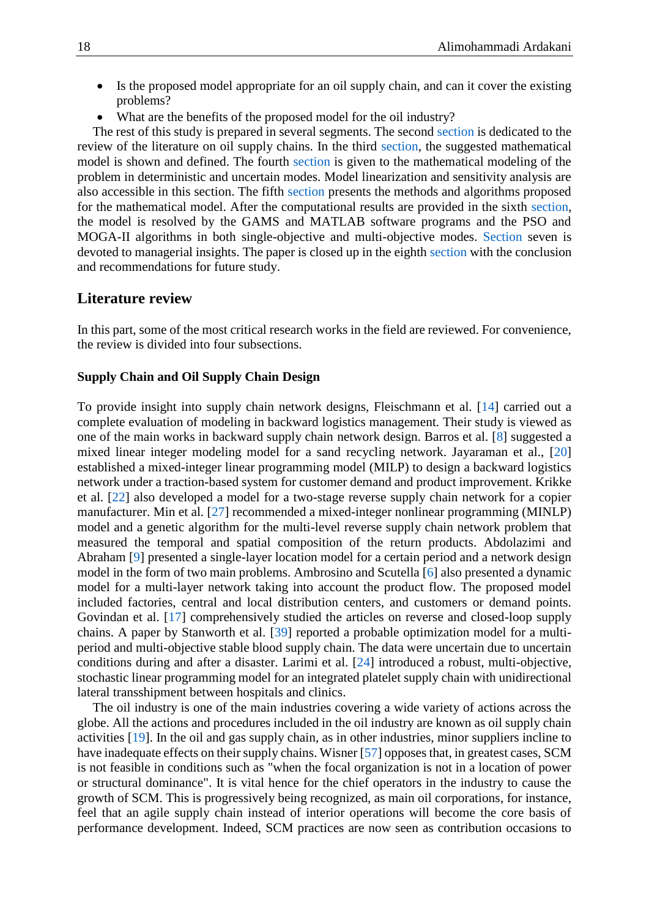- Is the proposed model appropriate for an oil supply chain, and can it cover the existing problems?
- What are the benefits of the proposed model for the oil industry?

The rest of this study is prepared in several segments. The second [section](#page-3-0) is dedicated to the review of the literature on oil supply chains. In the third [section,](#page-7-0) the suggested mathematical model is shown and defined. The fourth [section](#page-8-0) is given to the mathematical modeling of the problem in deterministic and uncertain modes. Model linearization and sensitivity analysis are also accessible in this section. The fifth [section](#page-14-0) presents the methods and algorithms proposed for the mathematical model. After the computational results are provided in the sixth [section,](#page-17-0) the model is resolved by the GAMS and MATLAB software programs and the PSO and MOGA-II algorithms in both single-objective and multi-objective modes. [Section](#page-21-0) seven is devoted to managerial insights. The paper is closed up in the eighth [section](#page-22-1) with the conclusion and recommendations for future study.

### <span id="page-3-0"></span>**Literature review**

In this part, some of the most critical research works in the field are reviewed. For convenience, the review is divided into four subsections.

#### **Supply Chain and Oil Supply Chain Design**

To provide insight into supply chain network designs, Fleischmann et al. [\[14\]](#page-23-1) carried out a complete evaluation of modeling in backward logistics management. Their study is viewed as one of the main works in backward supply chain network design. Barros et al. [\[8\]](#page-23-0) suggested a mixed linear integer modeling model for a sand recycling network. Jayaraman et al., [\[20\]](#page-23-2) established a mixed-integer linear programming model (MILP) to design a backward logistics network under a traction-based system for customer demand and product improvement. Krikke et al. [\[22\]](#page-24-1) also developed a model for a two-stage reverse supply chain network for a copier manufacturer. Min et al. [\[27\]](#page-24-2) recommended a mixed-integer nonlinear programming (MINLP) model and a genetic algorithm for the multi-level reverse supply chain network problem that measured the temporal and spatial composition of the return products. Abdolazimi and Abraham [\[9\]](#page-23-0) presented a single-layer location model for a certain period and a network design model in the form of two main problems. Ambrosino and Scutella [\[6\]](#page-23-3) also presented a dynamic model for a multi-layer network taking into account the product flow. The proposed model included factories, central and local distribution centers, and customers or demand points. Govindan et al. [\[17\]](#page-23-4) comprehensively studied the articles on reverse and closed-loop supply chains. A paper by Stanworth et al. [\[39\]](#page-24-0) reported a probable optimization model for a multiperiod and multi-objective stable blood supply chain. The data were uncertain due to uncertain conditions during and after a disaster. Larimi et al. [\[24\]](#page-24-1) introduced a robust, multi-objective, stochastic linear programming model for an integrated platelet supply chain with unidirectional lateral transshipment between hospitals and clinics.

The oil industry is one of the main industries covering a wide variety of actions across the globe. All the actions and procedures included in the oil industry are known as oil supply chain activities [\[19\]](#page-23-2). In the oil and gas supply chain, as in other industries, minor suppliers incline to have inadequate effects on their supply chains. Wisner [\[57\]](#page-25-3) opposes that, in greatest cases, SCM is not feasible in conditions such as "when the focal organization is not in a location of power or structural dominance". It is vital hence for the chief operators in the industry to cause the growth of SCM. This is progressively being recognized, as main oil corporations, for instance, feel that an agile supply chain instead of interior operations will become the core basis of performance development. Indeed, SCM practices are now seen as contribution occasions to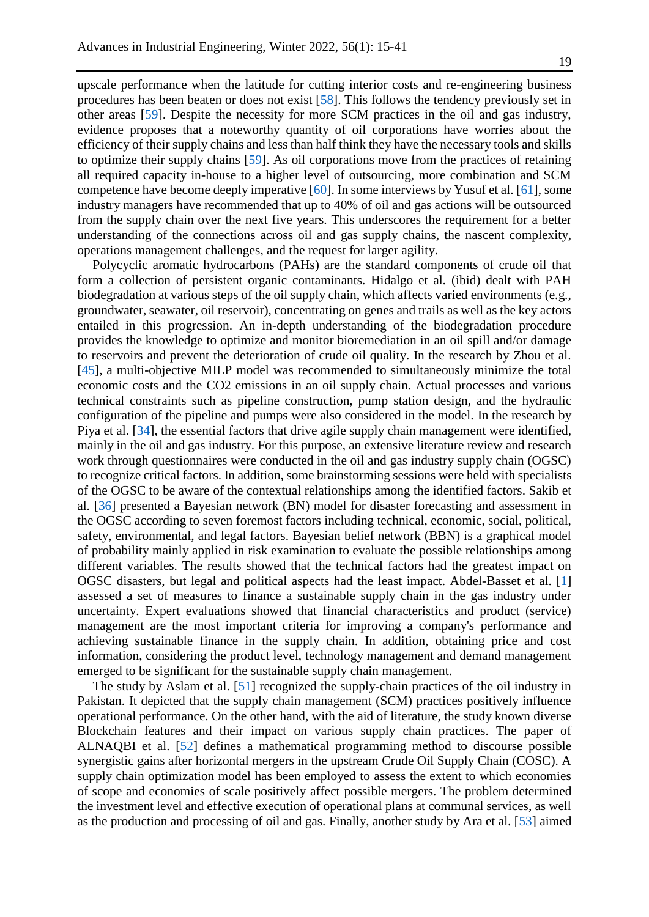upscale performance when the latitude for cutting interior costs and re-engineering business procedures has been beaten or does not exist [\[58\]](#page-25-4). This follows the tendency previously set in other areas [\[59\]](#page-25-4). Despite the necessity for more SCM practices in the oil and gas industry, evidence proposes that a noteworthy quantity of oil corporations have worries about the efficiency of their supply chains and less than half think they have the necessary tools and skills to optimize their supply chains [\[59\]](#page-25-4). As oil corporations move from the practices of retaining all required capacity in-house to a higher level of outsourcing, more combination and SCM competence have become deeply imperative [\[60\]](#page-25-5). In some interviews by Yusuf et al. [\[61\]](#page-25-5), some industry managers have recommended that up to 40% of oil and gas actions will be outsourced from the supply chain over the next five years. This underscores the requirement for a better understanding of the connections across oil and gas supply chains, the nascent complexity, operations management challenges, and the request for larger agility.

Polycyclic aromatic hydrocarbons (PAHs) are the standard components of crude oil that form a collection of persistent organic contaminants. Hidalgo et al. (ibid) dealt with PAH biodegradation at various steps of the oil supply chain, which affects varied environments (e.g., groundwater, seawater, oil reservoir), concentrating on genes and trails as well as the key actors entailed in this progression. An in-depth understanding of the biodegradation procedure provides the knowledge to optimize and monitor bioremediation in an oil spill and/or damage to reservoirs and prevent the deterioration of crude oil quality. In the research by Zhou et al. [\[45\]](#page-25-0), a multi-objective MILP model was recommended to simultaneously minimize the total economic costs and the CO2 emissions in an oil supply chain. Actual processes and various technical constraints such as pipeline construction, pump station design, and the hydraulic configuration of the pipeline and pumps were also considered in the model. In the research by Piya et al. [\[34\]](#page-24-3), the essential factors that drive agile supply chain management were identified, mainly in the oil and gas industry. For this purpose, an extensive literature review and research work through questionnaires were conducted in the oil and gas industry supply chain (OGSC) to recognize critical factors. In addition, some brainstorming sessions were held with specialists of the OGSC to be aware of the contextual relationships among the identified factors. Sakib et al. [\[36\]](#page-24-3) presented a Bayesian network (BN) model for disaster forecasting and assessment in the OGSC according to seven foremost factors including technical, economic, social, political, safety, environmental, and legal factors. Bayesian belief network (BBN) is a graphical model of probability mainly applied in risk examination to evaluate the possible relationships among different variables. The results showed that the technical factors had the greatest impact on OGSC disasters, but legal and political aspects had the least impact. Abdel-Basset et al. [\[1\]](#page-22-0) assessed a set of measures to finance a sustainable supply chain in the gas industry under uncertainty. Expert evaluations showed that financial characteristics and product (service) management are the most important criteria for improving a company's performance and achieving sustainable finance in the supply chain. In addition, obtaining price and cost information, considering the product level, technology management and demand management emerged to be significant for the sustainable supply chain management.

The study by Aslam et al. [\[51\]](#page-25-1) recognized the supply-chain practices of the oil industry in Pakistan. It depicted that the supply chain management (SCM) practices positively influence operational performance. On the other hand, with the aid of literature, the study known diverse Blockchain features and their impact on various supply chain practices. The paper of ALNAQBI et al. [\[52\]](#page-25-2) defines a mathematical programming method to discourse possible synergistic gains after horizontal mergers in the upstream Crude Oil Supply Chain (COSC). A supply chain optimization model has been employed to assess the extent to which economies of scope and economies of scale positively affect possible mergers. The problem determined the investment level and effective execution of operational plans at communal services, as well as the production and processing of oil and gas. Finally, another study by Ara et al. [\[53\]](#page-25-2) aimed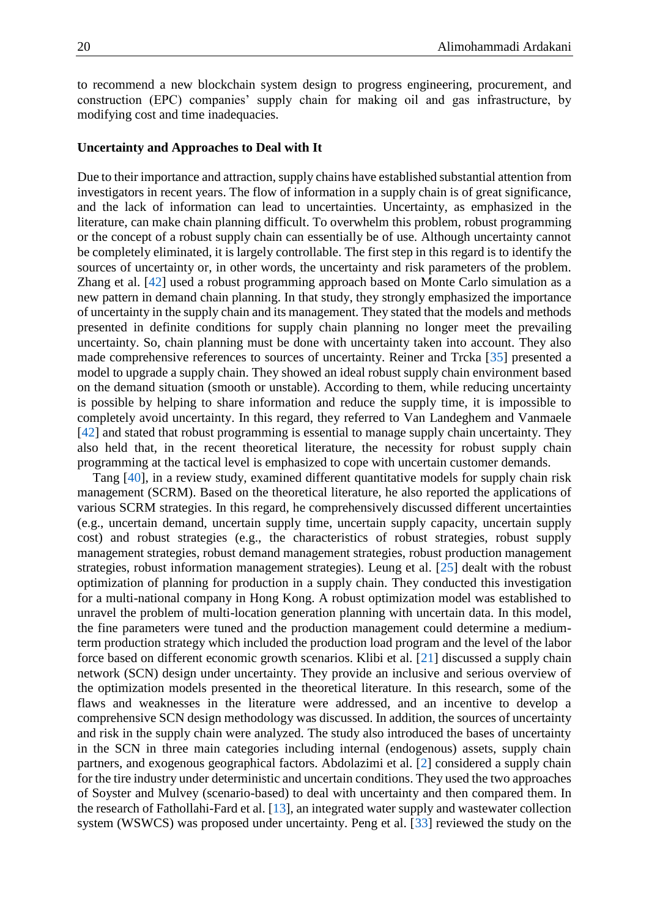to recommend a new blockchain system design to progress engineering, procurement, and construction (EPC) companies' supply chain for making oil and gas infrastructure, by modifying cost and time inadequacies.

#### **Uncertainty and Approaches to Deal with It**

Due to their importance and attraction, supply chains have established substantial attention from investigators in recent years. The flow of information in a supply chain is of great significance, and the lack of information can lead to uncertainties. Uncertainty, as emphasized in the literature, can make chain planning difficult. To overwhelm this problem, robust programming or the concept of a robust supply chain can essentially be of use. Although uncertainty cannot be completely eliminated, it is largely controllable. The first step in this regard is to identify the sources of uncertainty or, in other words, the uncertainty and risk parameters of the problem. Zhang et al. [\[42\]](#page-24-4) used a robust programming approach based on Monte Carlo simulation as a new pattern in demand chain planning. In that study, they strongly emphasized the importance of uncertainty in the supply chain and its management. They stated that the models and methods presented in definite conditions for supply chain planning no longer meet the prevailing uncertainty. So, chain planning must be done with uncertainty taken into account. They also made comprehensive references to sources of uncertainty. Reiner and Trcka [\[35\]](#page-24-3) presented a model to upgrade a supply chain. They showed an ideal robust supply chain environment based on the demand situation (smooth or unstable). According to them, while reducing uncertainty is possible by helping to share information and reduce the supply time, it is impossible to completely avoid uncertainty. In this regard, they referred to Van Landeghem and Vanmaele [\[42\]](#page-24-4) and stated that robust programming is essential to manage supply chain uncertainty. They also held that, in the recent theoretical literature, the necessity for robust supply chain programming at the tactical level is emphasized to cope with uncertain customer demands.

Tang [\[40\]](#page-24-4), in a review study, examined different quantitative models for supply chain risk management (SCRM). Based on the theoretical literature, he also reported the applications of various SCRM strategies. In this regard, he comprehensively discussed different uncertainties (e.g., uncertain demand, uncertain supply time, uncertain supply capacity, uncertain supply cost) and robust strategies (e.g., the characteristics of robust strategies, robust supply management strategies, robust demand management strategies, robust production management strategies, robust information management strategies). Leung et al. [\[25\]](#page-24-2) dealt with the robust optimization of planning for production in a supply chain. They conducted this investigation for a multi-national company in Hong Kong. A robust optimization model was established to unravel the problem of multi-location generation planning with uncertain data. In this model, the fine parameters were tuned and the production management could determine a mediumterm production strategy which included the production load program and the level of the labor force based on different economic growth scenarios. Klibi et al. [\[21\]](#page-23-2) discussed a supply chain network (SCN) design under uncertainty. They provide an inclusive and serious overview of the optimization models presented in the theoretical literature. In this research, some of the flaws and weaknesses in the literature were addressed, and an incentive to develop a comprehensive SCN design methodology was discussed. In addition, the sources of uncertainty and risk in the supply chain were analyzed. The study also introduced the bases of uncertainty in the SCN in three main categories including internal (endogenous) assets, supply chain partners, and exogenous geographical factors. Abdolazimi et al. [\[2\]](#page-22-0) considered a supply chain for the tire industry under deterministic and uncertain conditions. They used the two approaches of Soyster and Mulvey (scenario-based) to deal with uncertainty and then compared them. In the research of Fathollahi-Fard et al. [\[13\]](#page-23-1), an integrated water supply and wastewater collection system (WSWCS) was proposed under uncertainty. Peng et al. [\[33\]](#page-24-5) reviewed the study on the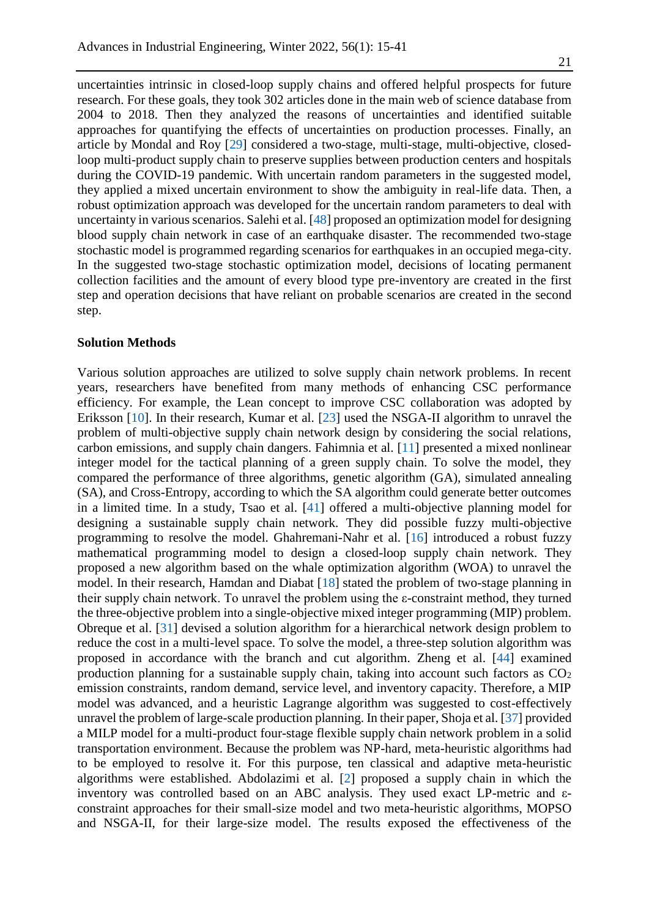uncertainties intrinsic in closed-loop supply chains and offered helpful prospects for future research. For these goals, they took 302 articles done in the main web of science database from 2004 to 2018. Then they analyzed the reasons of uncertainties and identified suitable approaches for quantifying the effects of uncertainties on production processes. Finally, an article by Mondal and Roy [\[29\]](#page-24-6) considered a two-stage, multi-stage, multi-objective, closedloop multi-product supply chain to preserve supplies between production centers and hospitals during the COVID-19 pandemic. With uncertain random parameters in the suggested model, they applied a mixed uncertain environment to show the ambiguity in real-life data. Then, a robust optimization approach was developed for the uncertain random parameters to deal with uncertainty in various scenarios. Salehi et al. [\[48\]](#page-25-6) proposed an optimization model for designing blood supply chain network in case of an earthquake disaster. The recommended two-stage stochastic model is programmed regarding scenarios for earthquakes in an occupied mega-city. In the suggested two-stage stochastic optimization model, decisions of locating permanent collection facilities and the amount of every blood type pre-inventory are created in the first step and operation decisions that have reliant on probable scenarios are created in the second step.

#### **Solution Methods**

Various solution approaches are utilized to solve supply chain network problems. In recent years, researchers have benefited from many methods of enhancing CSC performance efficiency. For example, the Lean concept to improve CSC collaboration was adopted by Eriksson [\[10\]](#page-23-5). In their research, Kumar et al. [\[23\]](#page-24-1) used the NSGA-II algorithm to unravel the problem of multi-objective supply chain network design by considering the social relations, carbon emissions, and supply chain dangers. Fahimnia et al. [\[11\]](#page-23-5) presented a mixed nonlinear integer model for the tactical planning of a green supply chain. To solve the model, they compared the performance of three algorithms, genetic algorithm (GA), simulated annealing (SA), and Cross-Entropy, according to which the SA algorithm could generate better outcomes in a limited time. In a study, Tsao et al. [\[41\]](#page-24-4) offered a multi-objective planning model for designing a sustainable supply chain network. They did possible fuzzy multi-objective programming to resolve the model. Ghahremani-Nahr et al. [\[16\]](#page-23-4) introduced a robust fuzzy mathematical programming model to design a closed-loop supply chain network. They proposed a new algorithm based on the whale optimization algorithm (WOA) to unravel the model. In their research, Hamdan and Diabat [\[18\]](#page-23-4) stated the problem of two-stage planning in their supply chain network. To unravel the problem using the ε-constraint method, they turned the three-objective problem into a single-objective mixed integer programming (MIP) problem. Obreque et al. [\[31\]](#page-24-5) devised a solution algorithm for a hierarchical network design problem to reduce the cost in a multi-level space. To solve the model, a three-step solution algorithm was proposed in accordance with the branch and cut algorithm. Zheng et al. [\[44\]](#page-25-0) examined production planning for a sustainable supply chain, taking into account such factors as  $CO<sub>2</sub>$ emission constraints, random demand, service level, and inventory capacity. Therefore, a MIP model was advanced, and a heuristic Lagrange algorithm was suggested to cost-effectively unravel the problem of large-scale production planning. In their paper, Shoja et al. [\[37\]](#page-24-0) provided a MILP model for a multi-product four-stage flexible supply chain network problem in a solid transportation environment. Because the problem was NP-hard, meta-heuristic algorithms had to be employed to resolve it. For this purpose, ten classical and adaptive meta-heuristic algorithms were established. Abdolazimi et al. [\[2\]](#page-22-0) proposed a supply chain in which the inventory was controlled based on an ABC analysis. They used exact LP-metric and εconstraint approaches for their small-size model and two meta-heuristic algorithms, MOPSO and NSGA-II, for their large-size model. The results exposed the effectiveness of the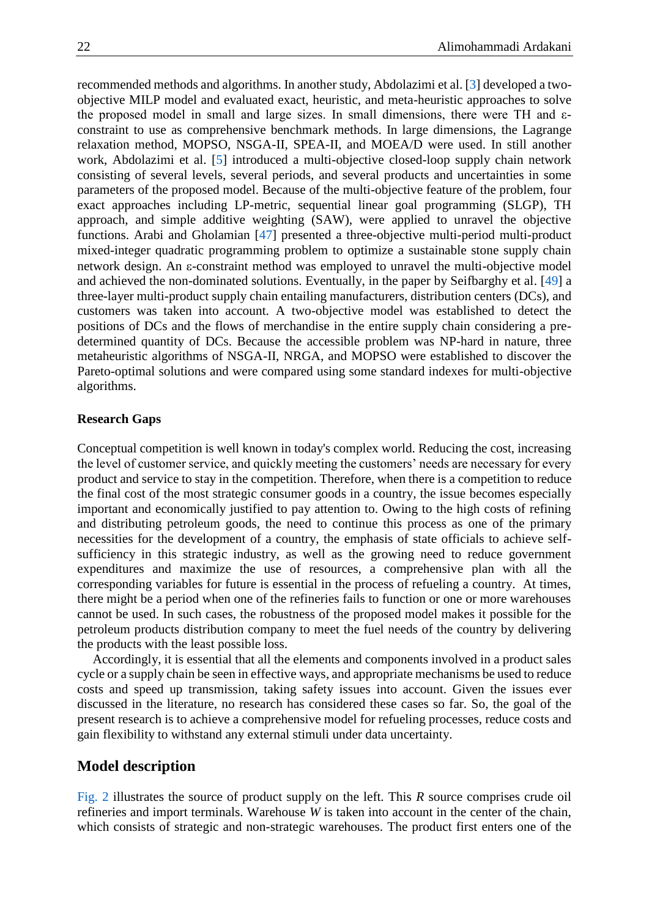recommended methods and algorithms. In another study, Abdolazimi et al. [\[3\]](#page-22-0) developed a twoobjective MILP model and evaluated exact, heuristic, and meta-heuristic approaches to solve the proposed model in small and large sizes. In small dimensions, there were TH and εconstraint to use as comprehensive benchmark methods. In large dimensions, the Lagrange relaxation method, MOPSO, NSGA-II, SPEA-II, and MOEA/D were used. In still another work, Abdolazimi et al. [\[5\]](#page-23-3) introduced a multi-objective closed-loop supply chain network consisting of several levels, several periods, and several products and uncertainties in some parameters of the proposed model. Because of the multi-objective feature of the problem, four exact approaches including LP-metric, sequential linear goal programming (SLGP), TH approach, and simple additive weighting (SAW), were applied to unravel the objective functions. Arabi and Gholamian [\[47\]](#page-25-6) presented a three-objective multi-period multi-product mixed-integer quadratic programming problem to optimize a sustainable stone supply chain network design. An  $\varepsilon$ -constraint method was employed to unravel the multi-objective model and achieved the non-dominated solutions. Eventually, in the paper by Seifbarghy et al. [\[49\]](#page-25-1) a three-layer multi-product supply chain entailing manufacturers, distribution centers (DCs), and customers was taken into account. A two-objective model was established to detect the positions of DCs and the flows of merchandise in the entire supply chain considering a predetermined quantity of DCs. Because the accessible problem was NP-hard in nature, three metaheuristic algorithms of NSGA-II, NRGA, and MOPSO were established to discover the Pareto-optimal solutions and were compared using some standard indexes for multi-objective algorithms.

#### **Research Gaps**

Conceptual competition is well known in today's complex world. Reducing the cost, increasing the level of customer service, and quickly meeting the customers' needs are necessary for every product and service to stay in the competition. Therefore, when there is a competition to reduce the final cost of the most strategic consumer goods in a country, the issue becomes especially important and economically justified to pay attention to. Owing to the high costs of refining and distributing petroleum goods, the need to continue this process as one of the primary necessities for the development of a country, the emphasis of state officials to achieve selfsufficiency in this strategic industry, as well as the growing need to reduce government expenditures and maximize the use of resources, a comprehensive plan with all the corresponding variables for future is essential in the process of refueling a country. At times, there might be a period when one of the refineries fails to function or one or more warehouses cannot be used. In such cases, the robustness of the proposed model makes it possible for the petroleum products distribution company to meet the fuel needs of the country by delivering the products with the least possible loss.

Accordingly, it is essential that all the elements and components involved in a product sales cycle or a supply chain be seen in effective ways, and appropriate mechanisms be used to reduce costs and speed up transmission, taking safety issues into account. Given the issues ever discussed in the literature, no research has considered these cases so far. So, the goal of the present research is to achieve a comprehensive model for refueling processes, reduce costs and gain flexibility to withstand any external stimuli under data uncertainty.

## <span id="page-7-0"></span>**Model description**

[Fig. 2](#page-8-1) illustrates the source of product supply on the left. This *R* source comprises crude oil refineries and import terminals. Warehouse *W* is taken into account in the center of the chain, which consists of strategic and non-strategic warehouses. The product first enters one of the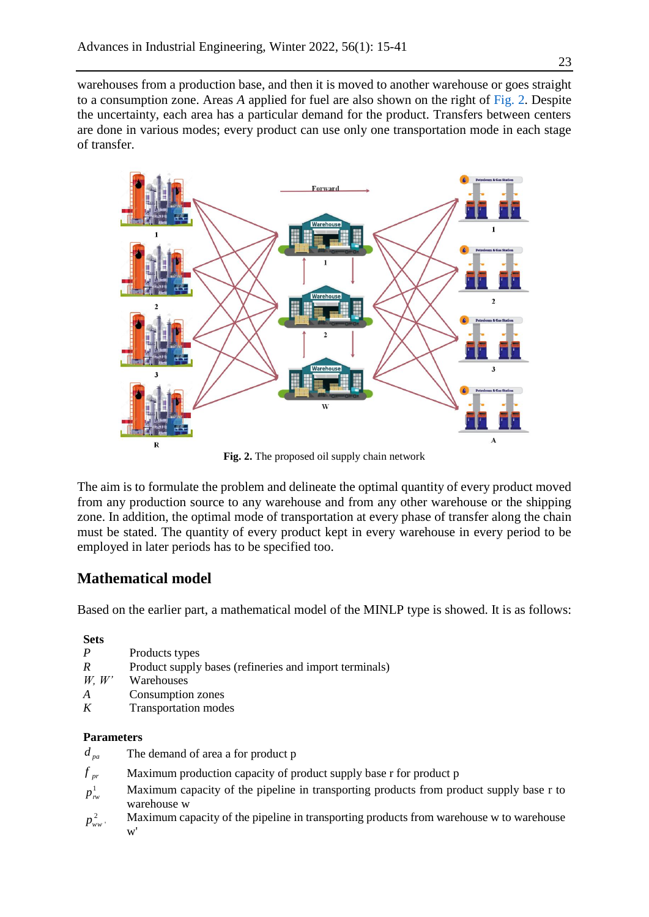warehouses from a production base, and then it is moved to another warehouse or goes straight to a consumption zone. Areas *A* applied for fuel are also shown on the right of [Fig. 2.](#page-8-1) Despite the uncertainty, each area has a particular demand for the product. Transfers between centers are done in various modes; every product can use only one transportation mode in each stage of transfer.

<span id="page-8-1"></span>

**Fig. 2.** The proposed oil supply chain network

The aim is to formulate the problem and delineate the optimal quantity of every product moved from any production source to any warehouse and from any other warehouse or the shipping zone. In addition, the optimal mode of transportation at every phase of transfer along the chain must be stated. The quantity of every product kept in every warehouse in every period to be employed in later periods has to be specified too.

# <span id="page-8-0"></span>**Mathematical model**

Based on the earlier part, a mathematical model of the MINLP type is showed. It is as follows:

## **Sets**

- *P* Products types
- *R* Product supply bases (refineries and import terminals)
- *W, W'* Warehouses
- *A* Consumption zones
- *K* Transportation modes

# **Parameters**

- $d_{pa}$ The demand of area a for product p
- $f_{nr}$ Maximum production capacity of product supply base r for product p
- $p_{\scriptscriptstyle \mathit{rw}}^{\scriptscriptstyle 1}$ Maximum capacity of the pipeline in transporting products from product supply base r to warehouse w
- $p_{\scriptscriptstyle\rm WW}^{\,2}$  , Maximum capacity of the pipeline in transporting products from warehouse w to warehouse w'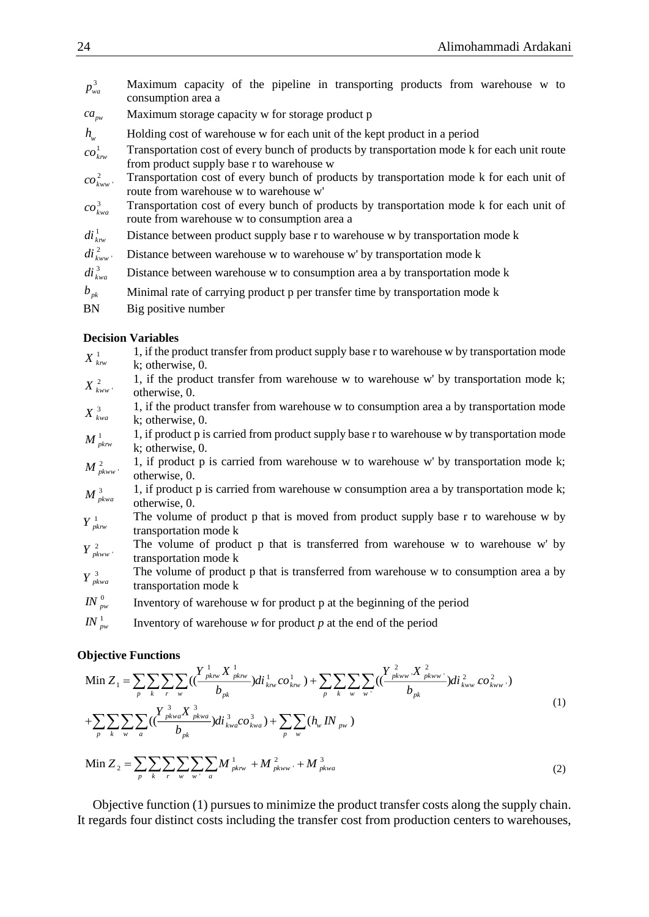- $p_{\tiny{wa}}^{\tiny{3}}$ Maximum capacity of the pipeline in transporting products from warehouse w to consumption area a
- $ca_{\mu\nu}$ Maximum storage capacity w for storage product p
- *w h* Holding cost of warehouse w for each unit of the kept product in a period
- $co_{\overline{k}rw}^1$ Transportation cost of every bunch of products by transportation mode k for each unit route from product supply base r to warehouse w
- $co_{kww}^2$  , Transportation cost of every bunch of products by transportation mode k for each unit of route from warehouse w to warehouse w'
- 3 *kwa co* Transportation cost of every bunch of products by transportation mode k for each unit of route from warehouse w to consumption area a
- $di_{\mathit{km}}^1$ Distance between product supply base r to warehouse w by transportation mode k
- $di_{\mathit{kww}}^{\,2}$  , Distance between warehouse w to warehouse w' by transportation mode k
- $di_{\scriptscriptstyle kwa}^{\,3}$ Distance between warehouse w to consumption area a by transportation mode k
- $b_{nk}$ Minimal rate of carrying product p per transfer time by transportation mode k
- BN Big positive number

#### **Decision Variables**

- $X_{km}^1$ 1, if the product transfer from product supply base r to warehouse w by transportation mode k; otherwise, 0.
- $X_{kww}^2$ 1, if the product transfer from warehouse w to warehouse w' by transportation mode k; otherwise, 0.
- $X_{kwa}^3$ 1, if the product transfer from warehouse w to consumption area a by transportation mode k; otherwise, 0.
- $M$   $_{pkrw}$ <sup>1</sup> 1, if product p is carried from product supply base r to warehouse w by transportation mode k; otherwise, 0.
- $M_{pkww}^2$ . 1, if product p is carried from warehouse w to warehouse w' by transportation mode k; otherwise, 0.
- $\overline{M}$ <sup>3</sup><sub>*pkwa*</sub> 1, if product p is carried from warehouse w consumption area a by transportation mode k; otherwise, 0.
- $Y$ <sub>pknv</sub> The volume of product p that is moved from product supply base r to warehouse w by transportation mode k
- $Y\frac{2}{p k w w}$  , The volume of product p that is transferred from warehouse w to warehouse w' by transportation mode k
- 3 *Y pkwa* The volume of product p that is transferred from warehouse w to consumption area a by transportation mode k
- $I\!N$   $_{\rho w}^0$ Inventory of warehouse w for product p at the beginning of the period
- $I\!N$   $_{\hspace{-0.5pt}p w}^1$ Inventory of warehouse *w* for product *p* at the end of the period

#### **Objective Functions**

$$
IN_{pw}^1 \quad \text{Inventory of warehouse } w \text{ for product } p \text{ at the edges.}
$$
\n
$$
IN_{pw}^1 \quad \text{Inventory of warehouse } w \text{ for product } p \text{ at the end of the period}
$$
\n
$$
\text{Objective Functions}
$$
\n
$$
\text{Min } Z_1 = \sum_{p} \sum_{k} \sum_{r} \sum_{w} \left( \frac{Y_{pkw}^1 X_{pkw}^1}{b_{pk}} \right) \frac{d}{dx_{kw}^1} \left( \frac{Y_{pkw}^2 X_{pkw}^2}{b_{pk}} \right) \left( \frac{Y_{pkw}^2 X_{pkw}^2}{b_{pk}} \right) \frac{d}{dx_{kw}^2} \left( \frac{Y_{pkw}^3 X_{pkw}^3}{b_{pk}} \right) \left( \frac{Y_{pkw}^3 X_{pkw}^2}{b_{pk}} \right) \left( \frac{Y_{pkw}^3 X_{pkw}^2}{b_{pk}} \right) \left( \frac{Y_{pkw}^3 X_{pkw}^3}{b_{pk}} \right) \left( \frac{Y_{pkw}^3 X_{pkw}^3}{b_{pk}} \right) \left( \frac{Y_{pkw}^3 X_{pkw}^3}{b_{pk}} \right) \left( \frac{Y_{pkw}^3 X_{pkw}^2}{b_{pk}} \right) \left( \frac{Y_{pkw}^3 X_{pkw}^2}{b_{pk}} \right) \left( \frac{Y_{pkw}^3 X_{pkw}^2}{b_{pk}} \right) \left( \frac{Y_{pkw}^3 X_{pkw}^2}{b_{pk}} \right) \left( \frac{Y_{pkw}^3 X_{pkw}^2}{b_{pk}} \right) \left( \frac{Y_{pkw}^3 X_{pkw}^2}{b_{pk}} \right) \left( \frac{Y_{pkw}^3 X_{pkw}^2}{b_{pk}} \right) \left( \frac{Y_{pkw}^2 X_{pkw}^2}{b_{pk}} \right) \left( \frac{Y_{pkw}^2 X_{pkw}^2}{b_{pk}} \right) \left( \frac{Y_{pkw}^2 X_{pkw}^2}{b_{pk}} \right) \left( \frac{Y_{pkw}^2 X_{pkw}^2}{b_{pk}} \right) \left( \frac{Y_{pkw}^3 X_{pkw}^3 X_{pkw}^3}{b_{pk}} \right) \left( \frac{Y_{pkw}
$$

<span id="page-9-0"></span>Objective function (1) pursues to minimize the product transfer costs along the supply chain. It regards four distinct costs including the transfer cost from production centers to warehouses,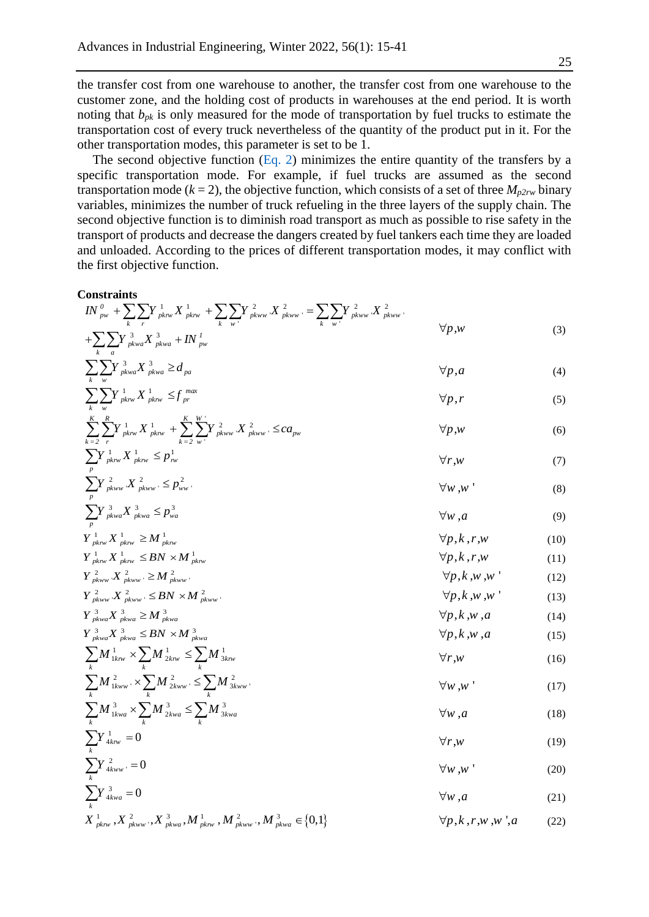the transfer cost from one warehouse to another, the transfer cost from one warehouse to the customer zone, and the holding cost of products in warehouses at the end period. It is worth noting that  $b_{pk}$  is only measured for the mode of transportation by fuel trucks to estimate the transportation cost of every truck nevertheless of the quantity of the product put in it. For the other transportation modes, this parameter is set to be 1.

The second objective function  $(Eq. 2)$  minimizes the entire quantity of the transfers by a specific transportation mode. For example, if fuel trucks are assumed as the second transportation mode ( $k = 2$ ), the objective function, which consists of a set of three  $M_{p2rw}$  binary variables, minimizes the number of truck refueling in the three layers of the supply chain. The second objective function is to diminish road transport as much as possible to rise safety in the transport of products and decrease the dangers created by fuel tankers each time they are loaded and unloaded. According to the prices of different transportation modes, it may conflict with the first objective function.

**Constraints**

1 1 2 2 2 2 ' ' ' ' ' ' 3 3 *0 pw pkrw pkrw pkww pkww pkww pkww k r k w k w 1 pkwa pkwa pw k a IN Y X Y X Y X Y X IN pw*, (3) 3 3 *pkwa pkwa pa k <sup>w</sup> <sup>Y</sup> <sup>X</sup> <sup>d</sup> <sup>p</sup> <sup>a</sup>*, (4) 1 1 *max pkrw pkrw pr k <sup>w</sup> <sup>Y</sup> <sup>X</sup> <sup>f</sup> <sup>p</sup> <sup>r</sup>*, (5) 1 1 2 2 ' ' *K R K W pkrw pkrw pkww pkww pw k =2 r k =2 w Y X Y X ca pw*, (6) 1 1 1 *pkrw pkrw rw p <sup>Y</sup> <sup>X</sup> <sup>p</sup> <sup>r</sup> <sup>w</sup>*, (7) 2 2 2 *pkww pkww ww* ' ' ' *p <sup>Y</sup> <sup>X</sup> <sup>p</sup> <sup>w</sup> <sup>w</sup>*, ' (8) 3 3 3 *pkwa pkwa wa p <sup>Y</sup> <sup>X</sup> <sup>p</sup> <sup>w</sup> <sup>a</sup>*, (9) 1 1 1 *Y X M pkrw pkrw pkrw <sup>p</sup> <sup>k</sup> <sup>r</sup> <sup>w</sup>* , , , (10) <sup>1</sup> <sup>1</sup> <sup>1</sup> *<sup>Y</sup> <sup>X</sup> BN <sup>M</sup> <sup>p</sup>krw <sup>p</sup>krw <sup>p</sup>krw <sup>p</sup> <sup>k</sup> <sup>r</sup> <sup>w</sup>* , , , (11) 2 2 2 *Y X M pkww pkww pkww* ' ' ' , , , ' *<sup>p</sup> <sup>k</sup> <sup>w</sup> <sup>w</sup>* (12) <sup>2</sup> <sup>2</sup> <sup>2</sup> *<sup>Y</sup> <sup>X</sup> BN <sup>M</sup> <sup>p</sup>kww <sup>p</sup>kww <sup>p</sup>kww* ' ' ' , , , ' *<sup>p</sup> <sup>k</sup> <sup>w</sup> <sup>w</sup>* (13) 3 3 3 *Y X M pkwa pkwa pkwa <sup>p</sup> <sup>k</sup> <sup>w</sup> <sup>a</sup>* , , , (14) <sup>3</sup> <sup>3</sup> <sup>3</sup> *<sup>Y</sup> <sup>X</sup> BN <sup>M</sup> <sup>p</sup>kwa <sup>p</sup>kwa <sup>p</sup>kwa <sup>p</sup> <sup>k</sup> <sup>w</sup> <sup>a</sup>* , , , (15) 1 1 1 1 2 3 *krw krw krw k k k <sup>M</sup> <sup>M</sup> <sup>M</sup> <sup>r</sup> <sup>w</sup>*, (16) 2 2 2 1 ' 2 ' 3 ' *kww kww kww k k k <sup>M</sup> <sup>M</sup> <sup>M</sup> <sup>w</sup> <sup>w</sup>*, ' (17) 3 3 3 1 2 3 *kwa kwa kwa k k k <sup>M</sup> <sup>M</sup> <sup>M</sup> <sup>w</sup> <sup>a</sup>*, (18) 1 <sup>4</sup> 0 *krw k <sup>Y</sup> <sup>r</sup> <sup>w</sup>*, (19)

$$
\sum_{k} Y^{2}_{4kww} = 0 \qquad \forall w, w'
$$
\n
$$
\sum_{k} Y^{3}_{4kwa} = 0 \qquad \forall w, a
$$
\n
$$
X^{1}_{pkww}, X^{2}_{pkww}, X^{3}_{pkwa}, M^{1}_{pkww}, M^{2}_{pkww}, M^{3}_{pkwa} \in \{0,1\} \qquad \forall p, k, n
$$

(20)

(21)

(22)

 $\forall p,k,r,w,w',a$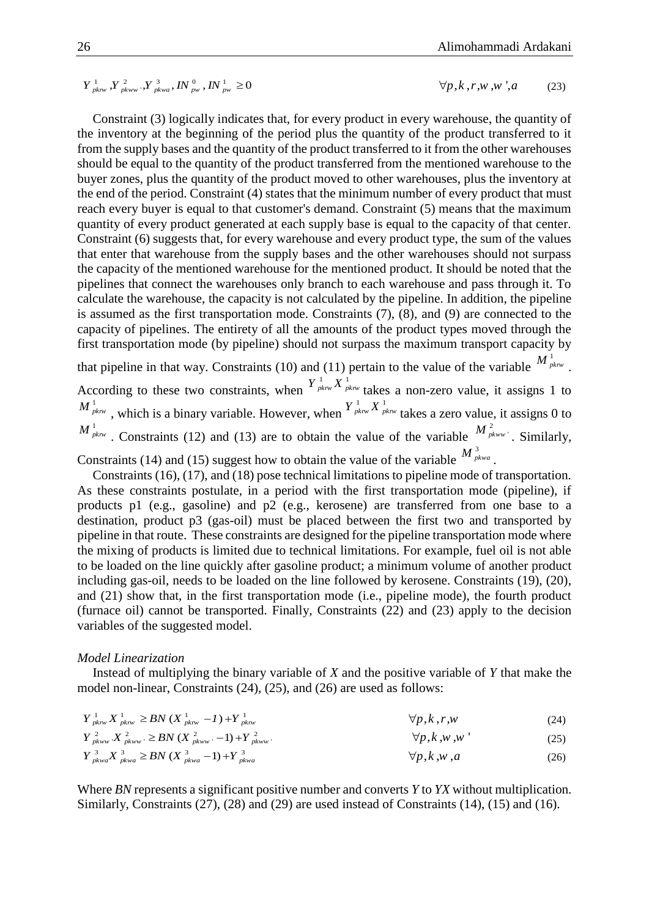# $Y_{\phantom{p}pkm}^{\,1}\,,Y_{\phantom{p}pkmv}^{\,2}\,,Y_{\phantom{p}pkma}^{\,3}\,,I\!N_{\phantom{p}pw}^{\,0}\,,I\!N_{\phantom{p}pw}^{\,1} \geq 0 \hspace{2.5cm} \forall p,k \,,r,w \,,\!\!w \;,d \in \mathbb{R}$

$$
\forall p, k, r, w, w', a \qquad (23)
$$

Constraint (3) logically indicates that, for every product in every warehouse, the quantity of the inventory at the beginning of the period plus the quantity of the product transferred to it from the supply bases and the quantity of the product transferred to it from the other warehouses should be equal to the quantity of the product transferred from the mentioned warehouse to the buyer zones, plus the quantity of the product moved to other warehouses, plus the inventory at the end of the period. Constraint (4) states that the minimum number of every product that must reach every buyer is equal to that customer's demand. Constraint (5) means that the maximum quantity of every product generated at each supply base is equal to the capacity of that center. Constraint (6) suggests that, for every warehouse and every product type, the sum of the values that enter that warehouse from the supply bases and the other warehouses should not surpass the capacity of the mentioned warehouse for the mentioned product. It should be noted that the pipelines that connect the warehouses only branch to each warehouse and pass through it. To calculate the warehouse, the capacity is not calculated by the pipeline. In addition, the pipeline is assumed as the first transportation mode. Constraints (7), (8), and (9) are connected to the capacity of pipelines. The entirety of all the amounts of the product types moved through the first transportation mode (by pipeline) should not surpass the maximum transport capacity by that pipeline in that way. Constraints (10) and (11) pertain to the value of the variable  $M_{\nu_{k\nu}}^1$ .

According to these two constraints, when  $Y_{pkm}^1 X_{pkm}^1$  takes a non-zero value, it assigns 1 to  $M_{pkw}^{1}$ , which is a binary variable. However, when  $Y_{pkw}^{1} X_{pkw}^{1}$  takes a zero value, it assigns 0 to  $M_{pkw}^1$ . Constraints (12) and (13) are to obtain the value of the variable  $M_{pkww}^2$ . Similarly,

Constraints (14) and (15) suggest how to obtain the value of the variable  $M_{\nu kwa}^3$ .

Constraints (16), (17), and (18) pose technical limitations to pipeline mode of transportation. As these constraints postulate, in a period with the first transportation mode (pipeline), if products p1 (e.g., gasoline) and p2 (e.g., kerosene) are transferred from one base to a destination, product p3 (gas-oil) must be placed between the first two and transported by pipeline in that route. These constraints are designed for the pipeline transportation mode where the mixing of products is limited due to technical limitations. For example, fuel oil is not able to be loaded on the line quickly after gasoline product; a minimum volume of another product including gas-oil, needs to be loaded on the line followed by kerosene. Constraints (19), (20), and (21) show that, in the first transportation mode (i.e., pipeline mode), the fourth product (furnace oil) cannot be transported. Finally, Constraints (22) and (23) apply to the decision variables of the suggested model.

#### *Model Linearization*

Instead of multiplying the binary variable of *X* and the positive variable of *Y* that make the model non-linear, Constraints (24), (25), and (26) are used as follows:

$$
Y_{pkw}^{1} X_{pkw}^{1} \ge BN(X_{pkw}^{1} - I) + Y_{pkw}^{1}
$$
  
\n
$$
Y_{pkww}^{2} X_{pkww}^{2} \ge BN(X_{pkww}^{2} - I) + Y_{pkww}^{2}
$$
  
\n
$$
\forall p, k, r, w
$$
  
\n
$$
\forall p, k, w, w'
$$
  
\n(24)  
\n
$$
\forall p, k, w, w'
$$

$$
Y_{pkw}X_{pkw}X_{pkw} \ge BN(X_{pkw}^3-1)+Y_{pkw}^3
$$
  
\n
$$
Y_{pkw}^3X_{pkw}^3 \ge BN(X_{pkw}^3-1)+Y_{pkw}^3
$$
  
\n
$$
\forall p,k,w,w
$$
  
\n
$$
\forall p,k,w,a
$$
  
\n(25)

Where *BN* represents a significant positive number and converts *Y* to *YX* without multiplication. Similarly, Constraints (27), (28) and (29) are used instead of Constraints (14), (15) and (16).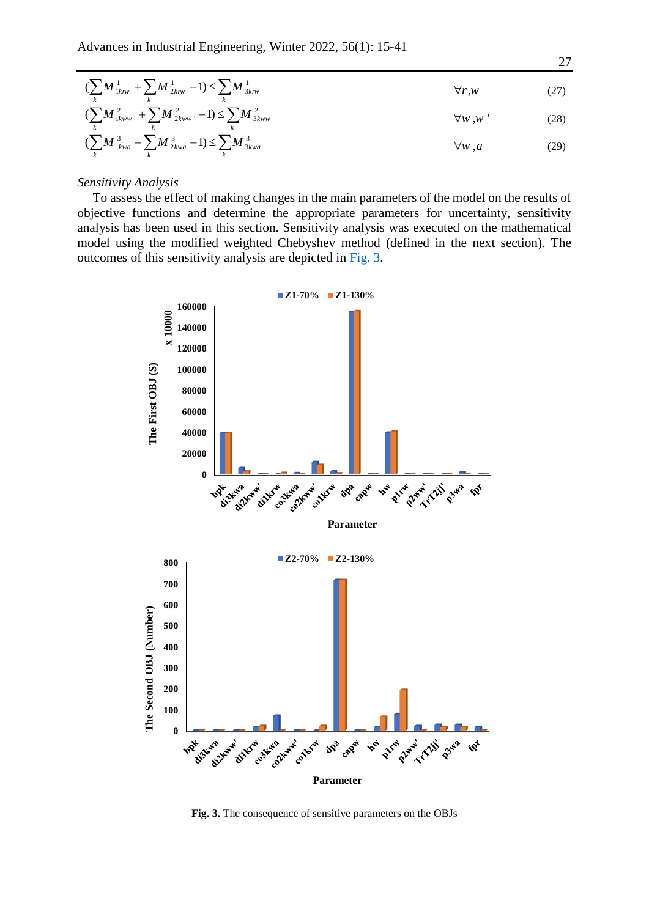| $(\sum M_{1km}^1 + \sum M_{2km}^1 - 1) \le \sum M_{3km}^1$<br>$\overline{b}$ and $\overline{b}$ and $\overline{b}$ and $\overline{b}$ and $\overline{b}$ and $\overline{b}$ and $\overline{b}$ and $\overline{b}$ and $\overline{b}$ and $\overline{b}$ and $\overline{b}$ and $\overline{b}$ and $\overline{b}$ and $\overline{b}$ and $\overline{b}$ and $\overline{b}$ and $\overline{b}$ and | $\forall r.w$   | (27) |
|--------------------------------------------------------------------------------------------------------------------------------------------------------------------------------------------------------------------------------------------------------------------------------------------------------------------------------------------------------------------------------------------------|-----------------|------|
| $(\sum M_{1kww}^2 + \sum M_{2kww}^2 - 1) \leq \sum M_{3kww}^2$ .                                                                                                                                                                                                                                                                                                                                 | $\forall w. w'$ | (28) |
| $(\sum M_{1kwa}^3 + \sum M_{2kwa}^3 - 1) \le \sum M_{3kwa}^3$<br>$\mathbf{L}$                                                                                                                                                                                                                                                                                                                    | $\forall w.a$   | (29) |

#### *Sensitivity Analysis*

To assess the effect of making changes in the main parameters of the model on the results of objective functions and determine the appropriate parameters for uncertainty, sensitivity analysis has been used in this section. Sensitivity analysis was executed on the mathematical model using the modified weighted Chebyshev method (defined in the next section). The outcomes of this sensitivity analysis are depicted in [Fig. 3.](#page-12-0)

<span id="page-12-0"></span>

**Fig. 3.** The consequence of sensitive parameters on the OBJs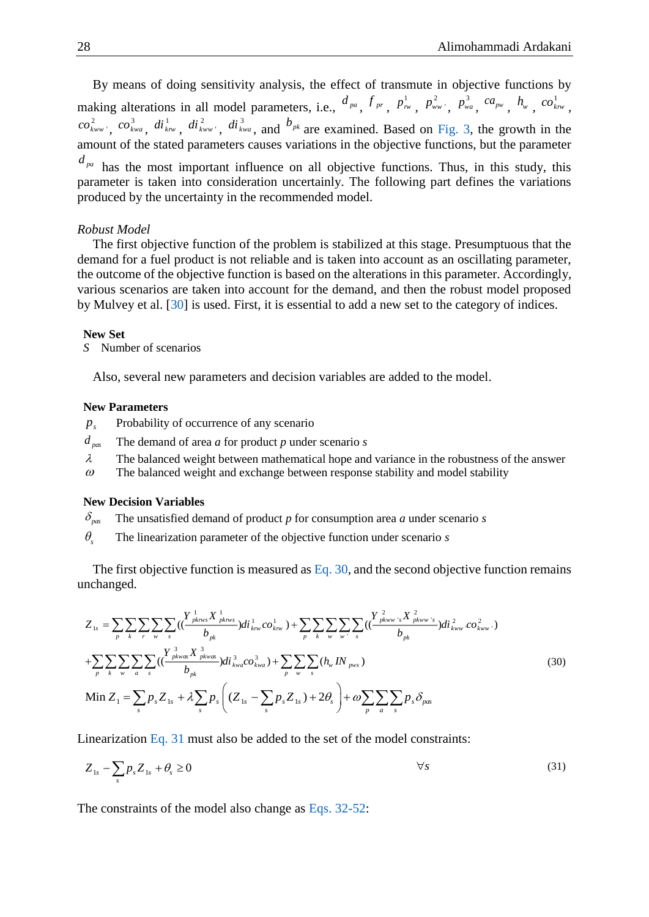By means of doing sensitivity analysis, the effect of transmute in objective functions by making alterations in all model parameters, i.e.,  $d_{pa}$ ,  $f_{pr}$ ,  $p_{w}^{1}$ ,  $p_{ww}^{2}$ ,  $p_{w}^{3}$ ,  $ca_{pw}$ ,  $h_{w}$ ,  $co_{kw}^{1}$ ,  $co_{kww}^2$ ,  $co_{kww}^3$ ,  $di_{kww}^1$ ,  $di_{kww}^2$ ,  $di_{kwa}^3$ , and  $b_{pk}$  are examined. Based on [Fig. 3,](#page-12-0) the growth in the amount of the stated parameters causes variations in the objective functions, but the parameter  $d_{pa}$  has the most important influence on all objective functions. Thus, in this study, this parameter is taken into consideration uncertainly. The following part defines the variations produced by the uncertainty in the recommended model.

#### *Robust Model*

The first objective function of the problem is stabilized at this stage. Presumptuous that the demand for a fuel product is not reliable and is taken into account as an oscillating parameter, the outcome of the objective function is based on the alterations in this parameter. Accordingly, various scenarios are taken into account for the demand, and then the robust model proposed by Mulvey et al. [\[30\]](#page-24-6) is used. First, it is essential to add a new set to the category of indices.

#### **New Set**

*S* Number of scenarios

Also, several new parameters and decision variables are added to the model.

#### **New Parameters**

- *s p* Probability of occurrence of any scenario
- $d_{\textit{pas}}$ The demand of area *a* for product *p* under scenario *s*
- $\lambda$ The balanced weight between mathematical hope and variance in the robustness of the answer
- $\omega$ The balanced weight and exchange between response stability and model stability

#### **New Decision Variables**

- $\delta_{\scriptscriptstyle{\textit{pas}}}$ The unsatisfied demand of product *p* for consumption area *a* under scenario *s*
- $\theta$ The linearization parameter of the objective function under scenario *s*

The first objective function is measured as [Eq. 30,](#page-13-0) and the second objective function remains unchanged.

<span id="page-13-0"></span>
$$
Z_{1s} = \sum_{p} \sum_{k} \sum_{r} \sum_{w} \sum_{s} \left( \left( \frac{Y_{pkwss}^{1} X_{pkw}}{b_{pk}} \right) di_{kw}^{1} c \right) + \sum_{p} \sum_{k} \sum_{w} \sum_{w} \sum_{s} \left( \left( \frac{Y_{pkww}^{2} S_{pkww}}{b_{pk}} \right) di_{kww}^{2} c \right) di_{kww}^{2} c \right)
$$
  
+ 
$$
\sum_{p} \sum_{k} \sum_{w} \sum_{a} \sum_{s} \left( \left( \frac{Y_{pkwas}^{3} X_{pkwas}^{3}}{b_{pk}} \right) di_{kwa}^{3} c \right) di_{kwa}^{3} c \right)
$$
  
Min  $Z_{1} = \sum_{s} p_{s} Z_{1s} + \lambda \sum_{s} p_{s} \left( (Z_{1s} - \sum_{s} p_{s} Z_{1s}) + 2 \theta_{s} \right) + \omega \sum_{p} \sum_{a} \sum_{s} p_{s} \delta_{pas}$  (30)

Linearization [Eq. 31](#page-13-1) must also be added to the set of the model constraints:

<span id="page-13-1"></span>
$$
Z_{1s} - \sum_{s} p_s Z_{1s} + \theta_s \ge 0 \tag{31}
$$

The constraints of the model also change as [Eqs. 32-52:](#page-14-1)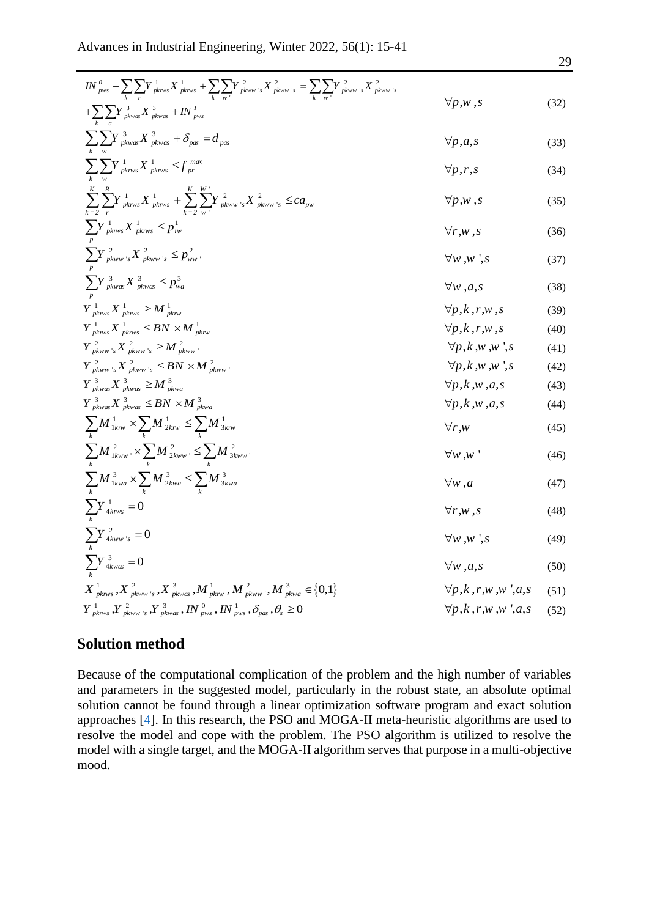<span id="page-14-1"></span>1 1 2 2 2 2 ' ' ' ' ' ' 3 3 *0 pws pkrws pkrws pkww s pkww s pkww s pkww s k r k w k w 1 pkwas pkwas pws k a IN Y X Y X Y X Y X IN p w s* , , (32) 3 3 *pkwas pkwas pas pas k w Y X d <sup>p</sup> <sup>a</sup> <sup>s</sup>* , , (33) 1 1 *max pkrws pkrws pr k <sup>w</sup> <sup>Y</sup> <sup>X</sup> <sup>f</sup> p r s* , , (34) 1 1 2 2 ' ' *K R K W pkrws pkrws pkww s pkww s pw k =2 r k =2 w Y X Y X ca p w s* , , (35) 1 1 1 *pkrws pkrws rw p <sup>Y</sup> <sup>X</sup> <sup>p</sup> r w s* , , (36) 2 2 2 *pkww s pkww s ww* ' ' ' *p Y X p w w s* , ', (37) 3 3 3 *pkwas pkwas wa p Y X p w a s* , , (38) 1 1 <sup>1</sup> *Y X <sup>M</sup> <sup>p</sup>krws <sup>p</sup>krws <sup>p</sup>krw p k r w s* , , , , (39) 1 1 <sup>1</sup> *<sup>Y</sup> <sup>X</sup> BN <sup>M</sup> <sup>p</sup>krws <sup>p</sup>krws <sup>p</sup>krw p k r w s* , , , , (40) 2 2 <sup>2</sup> *Y X <sup>M</sup> <sup>p</sup>kww <sup>s</sup> <sup>p</sup>kww <sup>s</sup> <sup>p</sup>kww* ' ' ' , , , ', *<sup>p</sup> k <sup>w</sup> <sup>w</sup> <sup>s</sup>* (41) 2 2 <sup>2</sup> *<sup>Y</sup> <sup>X</sup> BN <sup>M</sup> <sup>p</sup>kww <sup>s</sup> <sup>p</sup>kww <sup>s</sup> <sup>p</sup>kww* ' ' ' , , , ', *<sup>p</sup> <sup>k</sup> <sup>w</sup> <sup>w</sup> <sup>s</sup>* (42) <sup>3</sup> <sup>3</sup> <sup>3</sup> *Y <sup>X</sup> <sup>M</sup> <sup>p</sup>kwas <sup>p</sup>kwas <sup>p</sup>kwa p k w a s* , , , , (43) <sup>3</sup> <sup>3</sup> <sup>3</sup> *<sup>Y</sup> <sup>X</sup> BN <sup>M</sup> <sup>p</sup>kwas <sup>p</sup>kwas <sup>p</sup>kwa p k w a s* , , , , (44) 1 1 1 1 2 3 *krw krw krw k k k <sup>M</sup> <sup>M</sup> <sup>M</sup> <sup>r</sup> <sup>w</sup>*, (45) 2 2 2 1 ' 2 ' 3 ' *kww kww kww k k k <sup>M</sup> <sup>M</sup> <sup>M</sup> w w*, ' (46) 3 3 3 1 2 3 *kwa kwa kwa k k k <sup>M</sup> <sup>M</sup> <sup>M</sup> <sup>w</sup> <sup>a</sup>*, (47) 1 4 0 *krws k <sup>Y</sup> r w s* , , (48) 2 4 ' 0 *kww s k <sup>Y</sup> w w s* , ', (49) 3 <sup>4</sup> 0 *kwas k <sup>Y</sup> w a s* , , (50) 1 2 3 1 2 3 ' *<sup>X</sup> <sup>X</sup> <sup>X</sup> <sup>M</sup> <sup>M</sup> <sup>M</sup> <sup>p</sup>krws <sup>p</sup>kww <sup>s</sup> <sup>p</sup>kwas <sup>p</sup>krw <sup>p</sup>kww <sup>p</sup>kwa* , , , , , 0,1 *<sup>p</sup> <sup>k</sup> <sup>r</sup> <sup>w</sup> <sup>w</sup> <sup>a</sup> <sup>s</sup>* , , , , ', , (51) 1 2 3 0 1 *<sup>Y</sup> <sup>Y</sup> <sup>Y</sup> IN IN <sup>p</sup>krws <sup>p</sup>kww <sup>s</sup> <sup>p</sup>kwas pws pws pas <sup>s</sup>* , , , , , , <sup>0</sup> *<sup>p</sup> k <sup>r</sup> <sup>w</sup> <sup>w</sup> <sup>a</sup> <sup>s</sup>* , , , , ', , (52)

# <span id="page-14-0"></span>**Solution method**

Because of the computational complication of the problem and the high number of variables and parameters in the suggested model, particularly in the robust state, an absolute optimal solution cannot be found through a linear optimization software program and exact solution approaches [\[4\]](#page-23-3). In this research, the PSO and MOGA-II meta-heuristic algorithms are used to resolve the model and cope with the problem. The PSO algorithm is utilized to resolve the model with a single target, and the MOGA-II algorithm serves that purpose in a multi-objective mood.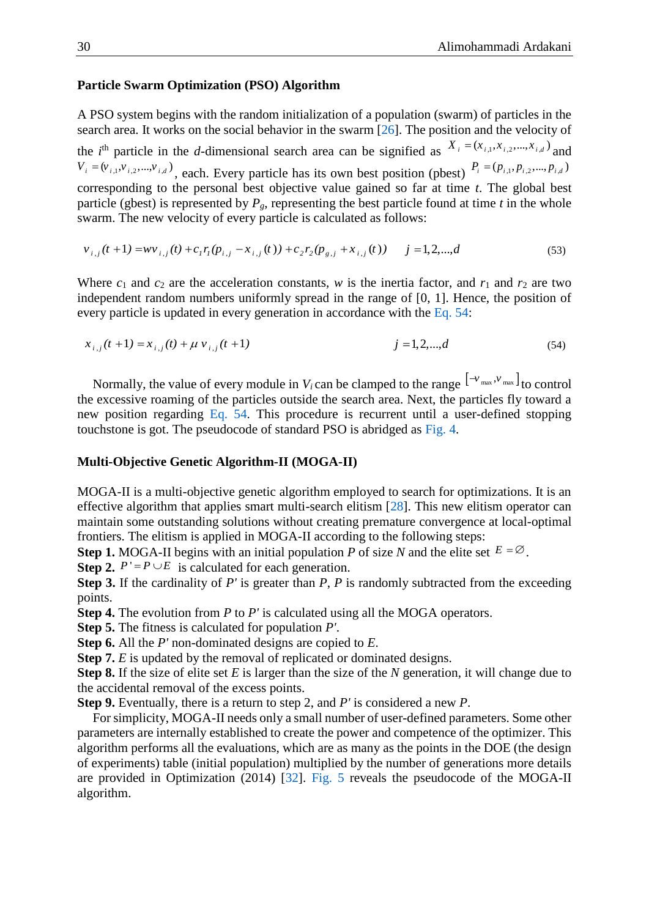#### **Particle Swarm Optimization (PSO) Algorithm**

A PSO system begins with the random initialization of a population (swarm) of particles in the search area. It works on the social behavior in the swarm [\[26\]](#page-24-2). The position and the velocity of the *i*<sup>th</sup> particle in the *d*-dimensional search area can be signified as  $X_i = (x_{i,1}, x_{i,2},...,x_{i,d})$  and  $V_i = (v_{i,1}, v_{i,2},...,v_{i,d})$ , each. Every particle has its own best position (pbest)  $P_i = (p_{i,1}, p_{i,2},...,p_{i,d})$ corresponding to the personal best objective value gained so far at time *t*. The global best particle (gbest) is represented by  $P_g$ , representing the best particle found at time *t* in the whole swarm. The new velocity of every particle is calculated as follows:

$$
v_{i,j}(t+1) = w v_{i,j}(t) + c_l r_l (p_{i,j} - x_{i,j}(t)) + c_2 r_2 (p_{g,j} + x_{i,j}(t)) \quad j = 1, 2, \dots, d
$$
\n
$$
(53)
$$

Where  $c_1$  and  $c_2$  are the acceleration constants, *w* is the inertia factor, and  $r_1$  and  $r_2$  are two independent random numbers uniformly spread in the range of [0, 1]. Hence, the position of every particle is updated in every generation in accordance with the [Eq. 54:](#page-15-0)

<span id="page-15-0"></span>
$$
x_{i,j}(t+1) = x_{i,j}(t) + \mu v_{i,j}(t+1) \tag{54}
$$

Normally, the value of every module in *Vi* can be clamped to the range  $[\neg v_{max}, v_{max}]$  to control the excessive roaming of the particles outside the search area. Next, the particles fly toward a new position regarding [Eq. 54.](#page-15-0) This procedure is recurrent until a user-defined stopping touchstone is got. The pseudocode of standard PSO is abridged as [Fig. 4.](#page-16-0)

#### **Multi-Objective Genetic Algorithm-II (MOGA-II)**

MOGA-II is a multi-objective genetic algorithm employed to search for optimizations. It is an effective algorithm that applies smart multi-search elitism [\[28\]](#page-24-6). This new elitism operator can maintain some outstanding solutions without creating premature convergence at local-optimal frontiers. The elitism is applied in MOGA-II according to the following steps:

**Step 1.** MOGA-II begins with an initial population P of size N and the elite set  $E = \emptyset$ .

**Step 2.**  $P' = P \cup E$  is calculated for each generation.

**Step 3.** If the cardinality of *P'* is greater than *P*, *P* is randomly subtracted from the exceeding points.

**Step 4.** The evolution from *P* to *P'* is calculated using all the MOGA operators.

**Step 5.** The fitness is calculated for population *P'*.

**Step 6.** All the *P'* non-dominated designs are copied to *E*.

**Step 7.** *E* is updated by the removal of replicated or dominated designs.

**Step 8.** If the size of elite set *E* is larger than the size of the *N* generation, it will change due to the accidental removal of the excess points.

**Step 9.** Eventually, there is a return to step 2, and *P'* is considered a new *P*.

For simplicity, MOGA-II needs only a small number of user-defined parameters. Some other parameters are internally established to create the power and competence of the optimizer. This algorithm performs all the evaluations, which are as many as the points in the DOE (the design of experiments) table (initial population) multiplied by the number of generations more details are provided in Optimization (2014) [\[32\]](#page-24-5). [Fig. 5](#page-17-1) reveals the pseudocode of the MOGA-II algorithm.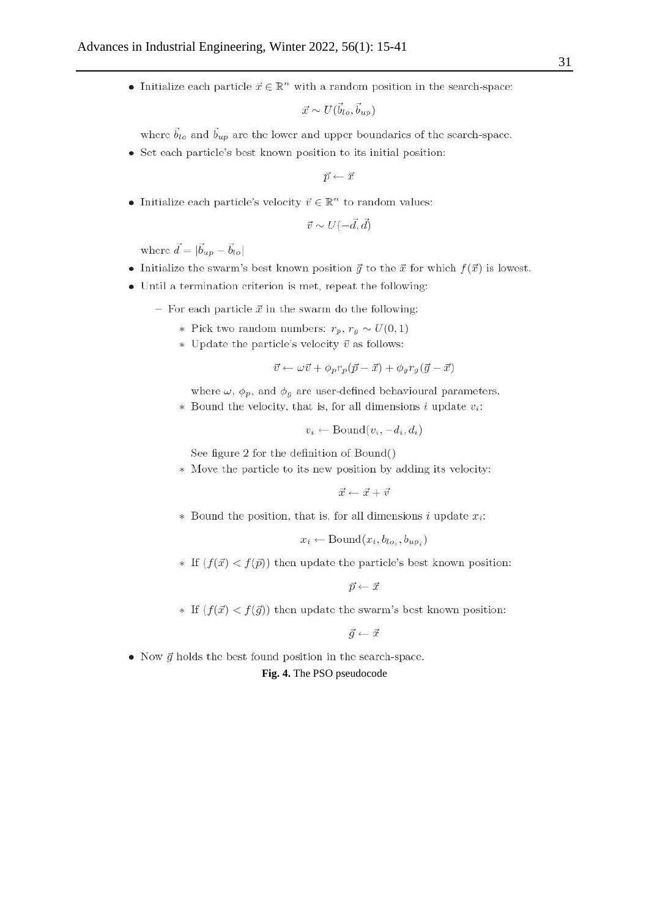<span id="page-16-0"></span>• Initialize each particle  $\vec{x} \in \mathbb{R}^n$  with a random position in the search-space:

 $\vec{x} \sim U(\vec{b}_{loc}, \vec{b}_{nn})$ 

where  $\vec{b}_{lo}$  and  $\vec{b}_{up}$  are the lower and upper boundaries of the search-space.

• Set each particle's best known position to its initial position:

 $\vec{p} \leftarrow \vec{x}$ 

• Initialize each particle's velocity  $\vec{v} \in \mathbb{R}^n$  to random values:

$$
\vec{v} \sim U(-d, d)
$$

where  $\vec{d} = |\vec{b}_{up} - \vec{b}_{lo}|$ 

- Initialize the swarm's best known position  $\vec{g}$  to the  $\vec{x}$  for which  $f(\vec{x})$  is lowest.
- $\bullet$  Until a termination criterion is met, repeat the following:
	- For each particle  $\vec{x}$  in the swarm do the following:
		- \* Pick two random numbers:  $r_p, r_q \sim U(0, 1)$
		- \* Update the particle's velocity  $\vec{v}$  as follows:

$$
\vec{v} \leftarrow \omega \vec{v} + \phi_p r_p (\vec{p} - \vec{x}) + \phi_g r_g (\vec{g} - \vec{x})
$$

where  $\omega$ ,  $\phi_p$ , and  $\phi_q$  are user-defined behavioural parameters.

\* Bound the velocity, that is, for all dimensions i update  $v_i$ :

$$
v_i \leftarrow \text{Bound}(v_i, -d_i, d_i)
$$

See figure 2 for the definition of Bound()

\* Move the particle to its new position by adding its velocity:

 $\vec{x} \leftarrow \vec{x} + \vec{v}$ 

\* Bound the position, that is, for all dimensions i update  $x_i$ :

 $x_i \leftarrow \text{Bound}(x_i, b_{loc}, b_{un})$ 

\* If  $(f(\vec{x}) < f(\vec{p}))$  then update the particle's best known position:

 $\vec{p} \leftarrow \vec{x}$ 

\* If  $(f(\vec{x}) < f(\vec{g}))$  then update the swarm's best known position:

 $\vec{q} \leftarrow \vec{x}$ 

• Now  $\vec{g}$  holds the best found position in the search-space.

#### **Fig. 4.** The PSO pseudocode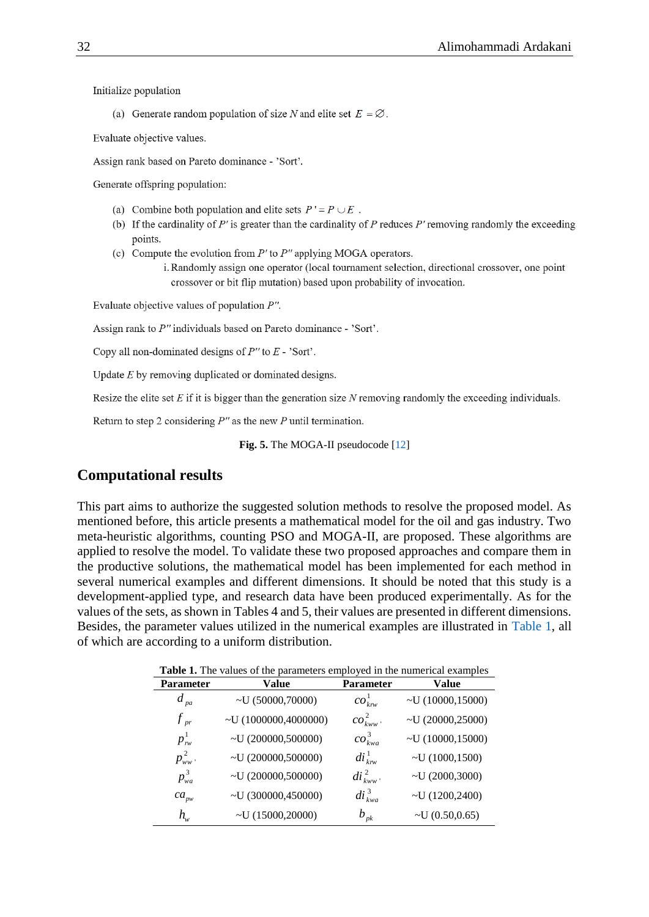<span id="page-17-1"></span>Initialize population

(a) Generate random population of size N and elite set  $E = \emptyset$ .

Evaluate objective values.

Assign rank based on Pareto dominance - 'Sort'.

Generate offspring population:

- (a) Combine both population and elite sets  $P' = P \cup E$ .
- (b) If the cardinality of  $P'$  is greater than the cardinality of  $P$  reduces  $P'$  removing randomly the exceeding points.
- (c) Compute the evolution from  $P'$  to  $P''$  applying MOGA operators.
	- i. Randomly assign one operator (local tournament selection, directional crossover, one point crossover or bit flip mutation) based upon probability of invocation.

Evaluate objective values of population  $P''$ .

Assign rank to P" individuals based on Pareto dominance - 'Sort'.

Copy all non-dominated designs of  $P''$  to  $E$  - 'Sort'.

Update  $E$  by removing duplicated or dominated designs.

Resize the elite set  $E$  if it is bigger than the generation size  $N$  removing randomly the exceeding individuals.

Return to step 2 considering  $P''$  as the new  $P$  until termination.

```
[12]
```
## <span id="page-17-0"></span>**Computational results**

This part aims to authorize the suggested solution methods to resolve the proposed model. As mentioned before, this article presents a mathematical model for the oil and gas industry. Two meta-heuristic algorithms, counting PSO and MOGA-II, are proposed. These algorithms are applied to resolve the model. To validate these two proposed approaches and compare them in the productive solutions, the mathematical model has been implemented for each method in several numerical examples and different dimensions. It should be noted that this study is a development-applied type, and research data have been produced experimentally. As for the values of the sets, as shown in Tables 4 and 5, their values are presented in different dimensions. Besides, the parameter values utilized in the numerical examples are illustrated in [Table 1,](#page-17-2) all of which are according to a uniform distribution.

| <b>Twist To The Values of the parameters employed in the humerical examples</b> |                           |                                |                        |
|---------------------------------------------------------------------------------|---------------------------|--------------------------------|------------------------|
| <b>Parameter</b>                                                                | Value                     | <b>Parameter</b>               | <b>Value</b>           |
| $d_{pa}$                                                                        | $\sim U(50000, 70000)$    | $co_{km}^1$                    | $\neg U(10000, 15000)$ |
| $f_{pr}$                                                                        | $\nu$ U (1000000,4000000) | $\overline{co}_{kww}^2$ .      | $\nu$ U (20000,25000)  |
| $p_w^1$                                                                         | $\sim$ U (200000,500000)  | $co_{kwa}^3$                   | $\nu$ U (10000,15000)  |
| $p_{ww}^2$ .                                                                    | $\sim$ U (200000,500000)  | $di_{\scriptscriptstyle kw}^1$ | $\neg U(1000, 1500)$   |
| $p_{wa}^3$                                                                      | $\sim$ U (200000,500000)  | $di_{kww}^2$ .                 | $\neg U (2000, 3000)$  |
| $ca_{\scriptscriptstyle{pw}}$                                                   | $\sim U$ (300000,450000)  | $di_{kwa}^3$                   | $\nu$ U (1200,2400)    |
| $h_{\!\scriptscriptstyle W}$                                                    | $\sim U(15000, 20000)$    | $b_{\scriptscriptstyle pk}$    | $\nu$ U (0.50,0.65)    |

<span id="page-17-2"></span>**Table 1.** The values of the parameters employed in the numerical examples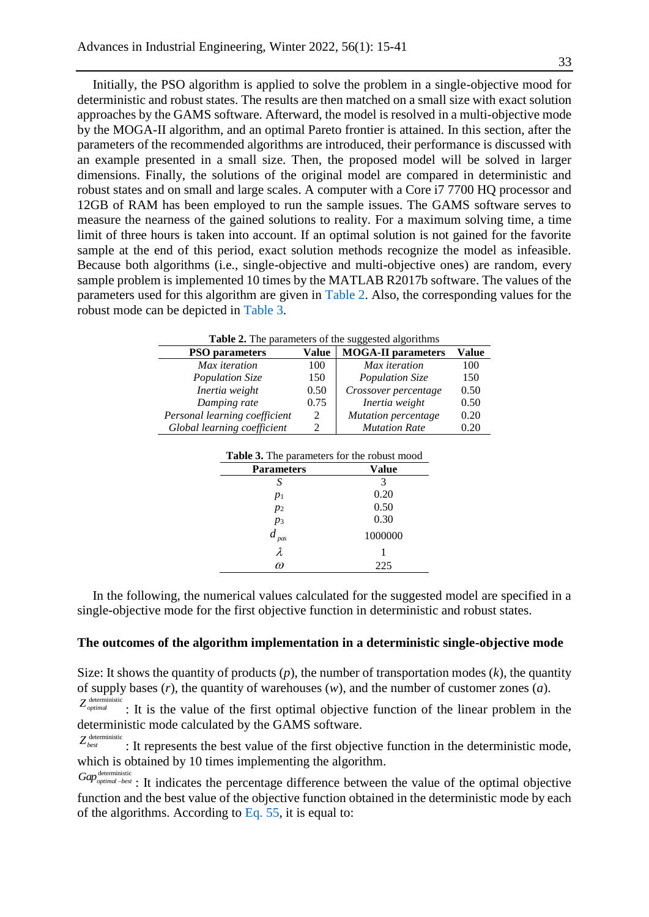Initially, the PSO algorithm is applied to solve the problem in a single-objective mood for deterministic and robust states. The results are then matched on a small size with exact solution approaches by the GAMS software. Afterward, the model is resolved in a multi-objective mode by the MOGA-II algorithm, and an optimal Pareto frontier is attained. In this section, after the parameters of the recommended algorithms are introduced, their performance is discussed with an example presented in a small size. Then, the proposed model will be solved in larger dimensions. Finally, the solutions of the original model are compared in deterministic and robust states and on small and large scales. A computer with a Core i7 7700 HQ processor and 12GB of RAM has been employed to run the sample issues. The GAMS software serves to measure the nearness of the gained solutions to reality. For a maximum solving time, a time limit of three hours is taken into account. If an optimal solution is not gained for the favorite sample at the end of this period, exact solution methods recognize the model as infeasible. Because both algorithms (i.e., single-objective and multi-objective ones) are random, every sample problem is implemented 10 times by the MATLAB R2017b software. The values of the parameters used for this algorithm are given in [Table 2.](#page-18-0) Also, the corresponding values for the robust mode can be depicted in [Table 3.](#page-18-1)

<span id="page-18-0"></span>

| <b>Table 2.</b> The parameters of the suggested algorithms |               |                           |       |
|------------------------------------------------------------|---------------|---------------------------|-------|
| <b>PSO</b> parameters                                      | Value         | <b>MOGA-II</b> parameters | Value |
| Max iteration                                              | 100           | Max iteration             | 100   |
| Population Size                                            | 150           | Population Size           | 150   |
| Inertia weight                                             | 0.50          | Crossover percentage      | 0.50  |
| Damping rate                                               | 0.75          | Inertia weight            | 0.50  |
| Personal learning coefficient                              | 2             | Mutation percentage       | 0.20  |
| Global learning coefficient                                | $\mathcal{L}$ | <b>Mutation Rate</b>      | 0.20  |

<span id="page-18-1"></span>

| <b>Table 3.</b> The parameters for the robust mood |         |  |  |
|----------------------------------------------------|---------|--|--|
| <b>Parameters</b>                                  | Value   |  |  |
| S                                                  | 3       |  |  |
| $p_1$                                              | 0.20    |  |  |
| $p_2$                                              | 0.50    |  |  |
| $p_3$                                              | 0.30    |  |  |
| pas                                                | 1000000 |  |  |
| $\lambda$                                          |         |  |  |
|                                                    | 225     |  |  |

In the following, the numerical values calculated for the suggested model are specified in a single-objective mode for the first objective function in deterministic and robust states.

## **The outcomes of the algorithm implementation in a deterministic single-objective mode**

Size: It shows the quantity of products  $(p)$ , the number of transportation modes  $(k)$ , the quantity of supply bases (*r*), the quantity of warehouses (*w*), and the number of customer zones (*a*).

Z<sup>deterministic</sup> : It is the value of the first optimal objective function of the linear problem in the deterministic mode calculated by the GAMS software.

 $Z_{\textit{best}}^{\textit{determin}}$ : It represents the best value of the first objective function in the deterministic mode, which is obtained by 10 times implementing the algorithm.

deterministic *Gapoptimal best* : It indicates the percentage difference between the value of the optimal objective function and the best value of the objective function obtained in the deterministic mode by each of the algorithms. According to Eq.  $55$ , it is equal to: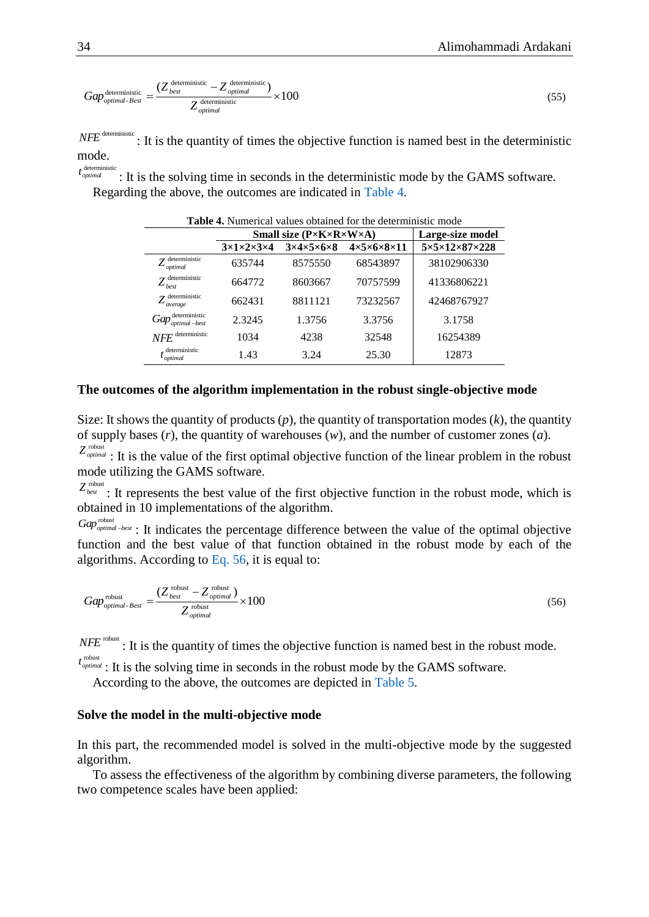$$
Gap_{optimal\text{-}Best}^{\text{deterministic}} = \frac{(Z_{best}^{\text{deterministic}} - Z_{optimal}^{\text{deterministic}})}{Z_{optimal}^{\text{deterministic}}} \times 100
$$
\n(55)

 $NFE$ <sup>deterministic</sup>: It is the quantity of times the objective function is named best in the deterministic mode.

deterministic *optimal <sup>t</sup>*  $\mathbf{F}$ : It is the solving time in seconds in the deterministic mode by the GAMS software.

<span id="page-19-1"></span><span id="page-19-0"></span>**Table 4.** Numerical values obtained for the deterministic mode

Regarding the above, the outcomes are indicated in [Table 4.](#page-19-1)

| <b>Table 4.</b> INDITIONAL VALUES ODIALITED TOP THE DETERMINISTIC HOUR |                                                      |                                 |                                  |                                     |
|------------------------------------------------------------------------|------------------------------------------------------|---------------------------------|----------------------------------|-------------------------------------|
|                                                                        | Small size $(P \times K \times R \times W \times A)$ |                                 |                                  | Large-size model                    |
|                                                                        | $3\times1\times2\times3\times4$                      | $3\times4\times5\times6\times8$ | $4\times5\times6\times8\times11$ | $5\times5\times12\times87\times228$ |
| deterministic<br>optimal                                               | 635744                                               | 8575550                         | 68543897                         | 38102906330                         |
| deterministic<br>$L_{best}$                                            | 664772                                               | 8603667                         | 70757599                         | 41336806221                         |
| $Z^{\text{deterministic}}$<br>average                                  | 662431                                               | 8811121                         | 73232567                         | 42468767927                         |
| $Gap_{optimal-best}^{deterministic}$                                   | 2.3245                                               | 1.3756                          | 3.3756                           | 3.1758                              |
| $NFE$ deterministic                                                    | 1034                                                 | 4238                            | 32548                            | 16254389                            |
| deterministic<br>optimal                                               | 1.43                                                 | 3.24                            | 25.30                            | 12873                               |

# **The outcomes of the algorithm implementation in the robust single-objective mode**

Size: It shows the quantity of products (*p*), the quantity of transportation modes (*k*), the quantity of supply bases (*r*), the quantity of warehouses (*w*), and the number of customer zones (*a*).

Z<sup>robust</sup> : It is the value of the first optimal objective function of the linear problem in the robust mode utilizing the GAMS software.

Z<sup>robust</sup>: It represents the best value of the first objective function in the robust mode, which is obtained in 10 implementations of the algorithm.

robust *Gapoptimal best* : It indicates the percentage difference between the value of the optimal objective function and the best value of that function obtained in the robust mode by each of the algorithms. According to Eq.  $56$ , it is equal to:

$$
Gap_{optimal\text{-}Best}^{\text{robust}} = \frac{(Z_{best}^{\text{robust}} - Z_{optimal}^{\text{robust}})}{Z_{optimal}^{\text{robust}}} \times 100\tag{56}
$$

 $NFE$ <sup>robust</sup>: It is the quantity of times the objective function is named best in the robust mode.

*t*<sup>robust</sup> : It is the solving time in seconds in the robust mode by the GAMS software.

<span id="page-19-2"></span>According to the above, the outcomes are depicted in [Table 5.](#page-20-0)

#### **Solve the model in the multi-objective mode**

In this part, the recommended model is solved in the multi-objective mode by the suggested algorithm.

To assess the effectiveness of the algorithm by combining diverse parameters, the following two competence scales have been applied: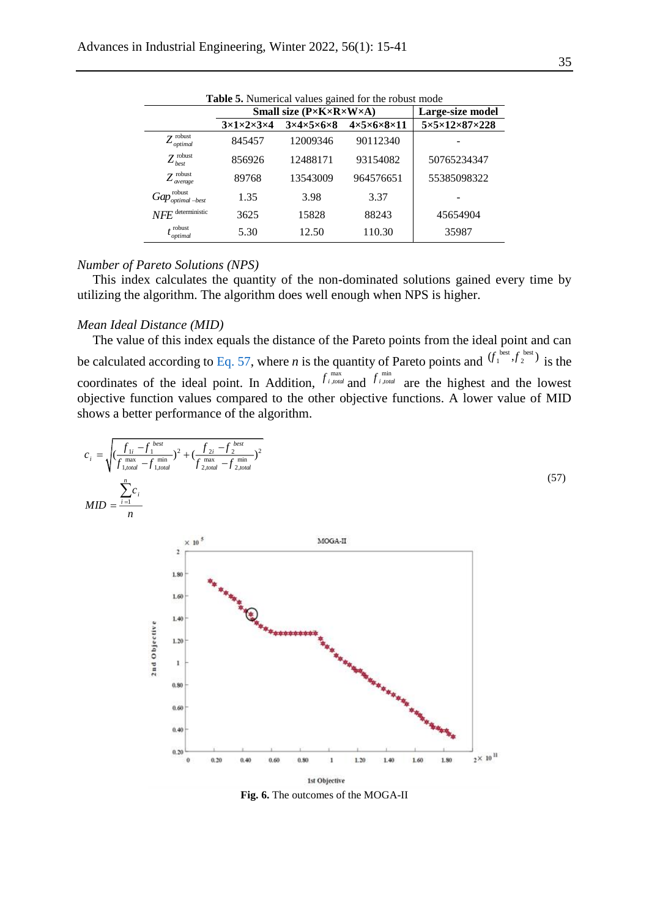<span id="page-20-0"></span>

| Table 5. Numerical values gained for the robust mode |                                 |                                 |                                  |                                     |
|------------------------------------------------------|---------------------------------|---------------------------------|----------------------------------|-------------------------------------|
|                                                      | Small size (P×K×R×W×A)          |                                 |                                  | Large-size model                    |
|                                                      | $3\times1\times2\times3\times4$ | $3\times4\times5\times6\times8$ | $4\times5\times6\times8\times11$ | $5\times5\times12\times87\times228$ |
| $Z_{\text{optimal}}^{\text{robust}}$                 | 845457                          | 12009346                        | 90112340                         |                                     |
| $Z_{best}^{robust}$                                  | 856926                          | 12488171                        | 93154082                         | 50765234347                         |
| $Z_{\textit{average}}^{\text{robust}}$               | 89768                           | 13543009                        | 964576651                        | 55385098322                         |
| $Gap_{optimal-best}^{robust}$                        | 1.35                            | 3.98                            | 3.37                             |                                     |
| $NFE$ deterministic                                  | 3625                            | 15828                           | 88243                            | 45654904                            |
| $t^{\rm \; robust}$                                  | 5.30                            | 12.50                           | 110.30                           | 35987                               |

#### *Number of Pareto Solutions (NPS)*

This index calculates the quantity of the non-dominated solutions gained every time by utilizing the algorithm. The algorithm does well enough when NPS is higher.

#### *Mean Ideal Distance (MID)*

The value of this index equals the distance of the Pareto points from the ideal point and can be calculated according to [Eq. 57,](#page-20-1) where *n* is the quantity of Pareto points and  $(f_1^{\text{best}}, f_2^{\text{best}})$  is the coordinates of the ideal point. In Addition,  $f_{i, total}$  and  $f_{i, total}$  are the highest and the lowest objective function values compared to the other objective functions. A lower value of MID shows a better performance of the algorithm.

<span id="page-20-2"></span><span id="page-20-1"></span>

**Fig. 6.** The outcomes of the MOGA-II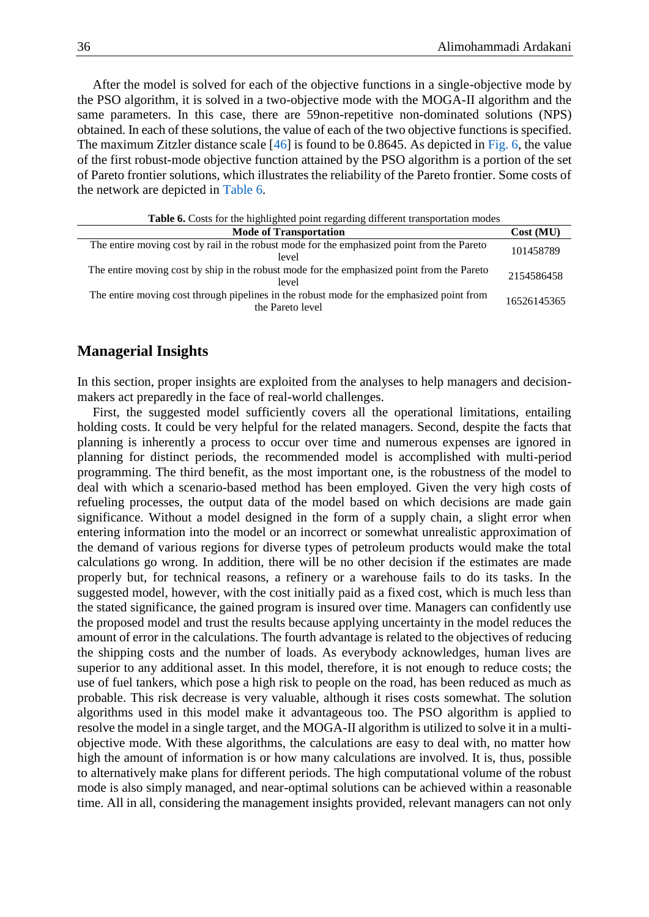After the model is solved for each of the objective functions in a single-objective mode by the PSO algorithm, it is solved in a two-objective mode with the MOGA-II algorithm and the same parameters. In this case, there are 59non-repetitive non-dominated solutions (NPS) obtained. In each of these solutions, the value of each of the two objective functions is specified. The maximum Zitzler distance scale [\[46\]](#page-25-6) is found to be 0.8645. As depicted in [Fig. 6,](#page-20-2) the value of the first robust-mode objective function attained by the PSO algorithm is a portion of the set of Pareto frontier solutions, which illustrates the reliability of the Pareto frontier. Some costs of the network are depicted in [Table 6.](#page-21-1)

<span id="page-21-1"></span>

| Table 6. Costs for the highlighted point regarding different transportation modes                             |             |
|---------------------------------------------------------------------------------------------------------------|-------------|
| <b>Mode of Transportation</b>                                                                                 | Cost (MU)   |
| The entire moving cost by rail in the robust mode for the emphasized point from the Pareto<br>level           | 101458789   |
| The entire moving cost by ship in the robust mode for the emphasized point from the Pareto<br>level           | 2154586458  |
| The entire moving cost through pipelines in the robust mode for the emphasized point from<br>the Pareto level | 16526145365 |

# <span id="page-21-0"></span>**Managerial Insights**

In this section, proper insights are exploited from the analyses to help managers and decisionmakers act preparedly in the face of real-world challenges.

First, the suggested model sufficiently covers all the operational limitations, entailing holding costs. It could be very helpful for the related managers. Second, despite the facts that planning is inherently a process to occur over time and numerous expenses are ignored in planning for distinct periods, the recommended model is accomplished with multi-period programming. The third benefit, as the most important one, is the robustness of the model to deal with which a scenario-based method has been employed. Given the very high costs of refueling processes, the output data of the model based on which decisions are made gain significance. Without a model designed in the form of a supply chain, a slight error when entering information into the model or an incorrect or somewhat unrealistic approximation of the demand of various regions for diverse types of petroleum products would make the total calculations go wrong. In addition, there will be no other decision if the estimates are made properly but, for technical reasons, a refinery or a warehouse fails to do its tasks. In the suggested model, however, with the cost initially paid as a fixed cost, which is much less than the stated significance, the gained program is insured over time. Managers can confidently use the proposed model and trust the results because applying uncertainty in the model reduces the amount of error in the calculations. The fourth advantage is related to the objectives of reducing the shipping costs and the number of loads. As everybody acknowledges, human lives are superior to any additional asset. In this model, therefore, it is not enough to reduce costs; the use of fuel tankers, which pose a high risk to people on the road, has been reduced as much as probable. This risk decrease is very valuable, although it rises costs somewhat. The solution algorithms used in this model make it advantageous too. The PSO algorithm is applied to resolve the model in a single target, and the MOGA-II algorithm is utilized to solve it in a multiobjective mode. With these algorithms, the calculations are easy to deal with, no matter how high the amount of information is or how many calculations are involved. It is, thus, possible to alternatively make plans for different periods. The high computational volume of the robust mode is also simply managed, and near-optimal solutions can be achieved within a reasonable time. All in all, considering the management insights provided, relevant managers can not only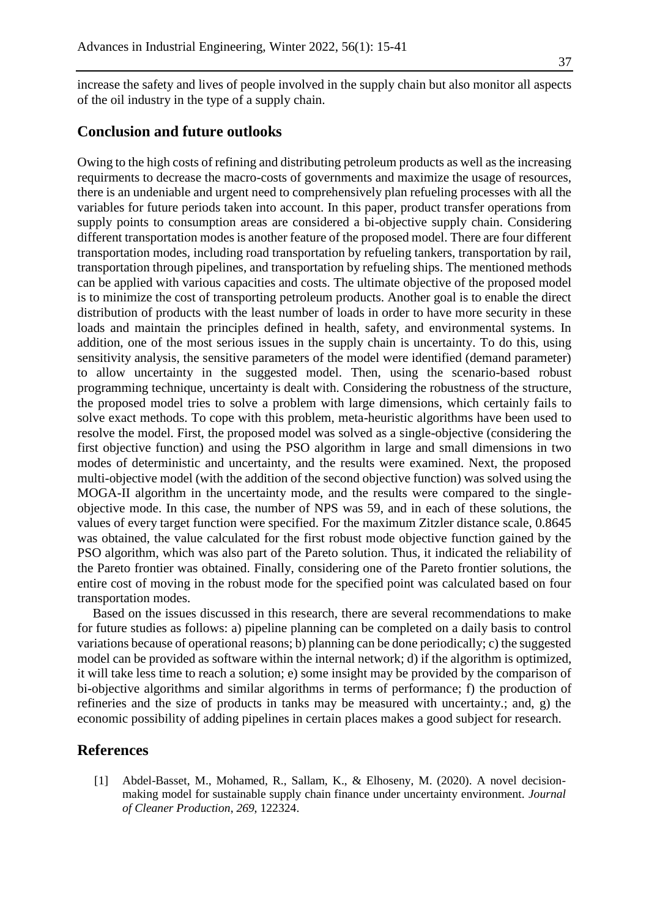increase the safety and lives of people involved in the supply chain but also monitor all aspects of the oil industry in the type of a supply chain.

## <span id="page-22-1"></span>**Conclusion and future outlooks**

Owing to the high costs of refining and distributing petroleum products as well as the increasing requirments to decrease the macro-costs of governments and maximize the usage of resources, there is an undeniable and urgent need to comprehensively plan refueling processes with all the variables for future periods taken into account. In this paper, product transfer operations from supply points to consumption areas are considered a bi-objective supply chain. Considering different transportation modes is another feature of the proposed model. There are four different transportation modes, including road transportation by refueling tankers, transportation by rail, transportation through pipelines, and transportation by refueling ships. The mentioned methods can be applied with various capacities and costs. The ultimate objective of the proposed model is to minimize the cost of transporting petroleum products. Another goal is to enable the direct distribution of products with the least number of loads in order to have more security in these loads and maintain the principles defined in health, safety, and environmental systems. In addition, one of the most serious issues in the supply chain is uncertainty. To do this, using sensitivity analysis, the sensitive parameters of the model were identified (demand parameter) to allow uncertainty in the suggested model. Then, using the scenario-based robust programming technique, uncertainty is dealt with. Considering the robustness of the structure, the proposed model tries to solve a problem with large dimensions, which certainly fails to solve exact methods. To cope with this problem, meta-heuristic algorithms have been used to resolve the model. First, the proposed model was solved as a single-objective (considering the first objective function) and using the PSO algorithm in large and small dimensions in two modes of deterministic and uncertainty, and the results were examined. Next, the proposed multi-objective model (with the addition of the second objective function) was solved using the MOGA-II algorithm in the uncertainty mode, and the results were compared to the singleobjective mode. In this case, the number of NPS was 59, and in each of these solutions, the values of every target function were specified. For the maximum Zitzler distance scale, 0.8645 was obtained, the value calculated for the first robust mode objective function gained by the PSO algorithm, which was also part of the Pareto solution. Thus, it indicated the reliability of the Pareto frontier was obtained. Finally, considering one of the Pareto frontier solutions, the entire cost of moving in the robust mode for the specified point was calculated based on four transportation modes.

Based on the issues discussed in this research, there are several recommendations to make for future studies as follows: a) pipeline planning can be completed on a daily basis to control variations because of operational reasons; b) planning can be done periodically; c) the suggested model can be provided as software within the internal network; d) if the algorithm is optimized, it will take less time to reach a solution; e) some insight may be provided by the comparison of bi-objective algorithms and similar algorithms in terms of performance; f) the production of refineries and the size of products in tanks may be measured with uncertainty.; and, g) the economic possibility of adding pipelines in certain places makes a good subject for research.

# **References**

<span id="page-22-0"></span>[1] Abdel-Basset, M., Mohamed, R., Sallam, K., & Elhoseny, M. (2020). A novel decisionmaking model for sustainable supply chain finance under uncertainty environment. *Journal of Cleaner Production*, *269*, 122324.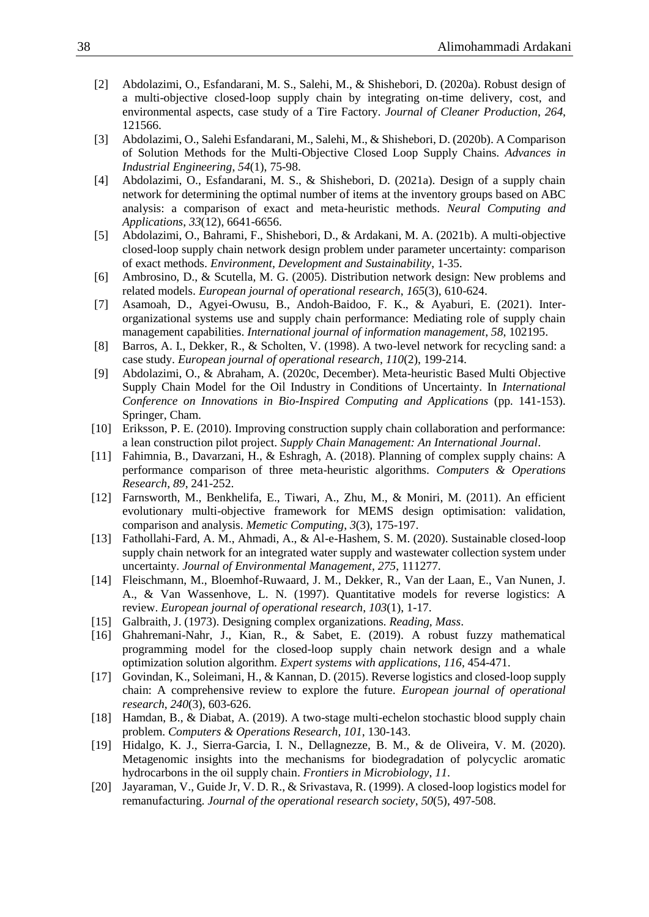- [2] Abdolazimi, O., Esfandarani, M. S., Salehi, M., & Shishebori, D. (2020a). Robust design of a multi-objective closed-loop supply chain by integrating on-time delivery, cost, and environmental aspects, case study of a Tire Factory. *Journal of Cleaner Production*, *264*, 121566.
- [3] Abdolazimi, O., Salehi Esfandarani, M., Salehi, M., & Shishebori, D. (2020b). A Comparison of Solution Methods for the Multi-Objective Closed Loop Supply Chains. *Advances in Industrial Engineering*, *54*(1), 75-98.
- <span id="page-23-3"></span>[4] Abdolazimi, O., Esfandarani, M. S., & Shishebori, D. (2021a). Design of a supply chain network for determining the optimal number of items at the inventory groups based on ABC analysis: a comparison of exact and meta-heuristic methods. *Neural Computing and Applications*, *33*(12), 6641-6656.
- [5] Abdolazimi, O., Bahrami, F., Shishebori, D., & Ardakani, M. A. (2021b). A multi-objective closed-loop supply chain network design problem under parameter uncertainty: comparison of exact methods. *Environment, Development and Sustainability*, 1-35.
- [6] Ambrosino, D., & Scutella, M. G. (2005). Distribution network design: New problems and related models. *European journal of operational research*, *165*(3), 610-624.
- <span id="page-23-0"></span>[7] Asamoah, D., Agyei-Owusu, B., Andoh-Baidoo, F. K., & Ayaburi, E. (2021). Interorganizational systems use and supply chain performance: Mediating role of supply chain management capabilities. *International journal of information management*, *58*, 102195.
- [8] Barros, A. I., Dekker, R., & Scholten, V. (1998). A two-level network for recycling sand: a case study. *European journal of operational research*, *110*(2), 199-214.
- [9] Abdolazimi, O., & Abraham, A. (2020c, December). Meta-heuristic Based Multi Objective Supply Chain Model for the Oil Industry in Conditions of Uncertainty. In *International Conference on Innovations in Bio-Inspired Computing and Applications* (pp. 141-153). Springer, Cham.
- <span id="page-23-5"></span>[10] Eriksson, P. E. (2010). Improving construction supply chain collaboration and performance: a lean construction pilot project. *Supply Chain Management: An International Journal*.
- [11] Fahimnia, B., Davarzani, H., & Eshragh, A. (2018). Planning of complex supply chains: A performance comparison of three meta-heuristic algorithms. *Computers & Operations Research*, *89*, 241-252.
- [12] Farnsworth, M., Benkhelifa, E., Tiwari, A., Zhu, M., & Moniri, M. (2011). An efficient evolutionary multi-objective framework for MEMS design optimisation: validation, comparison and analysis. *Memetic Computing*, *3*(3), 175-197.
- <span id="page-23-1"></span>[13] Fathollahi-Fard, A. M., Ahmadi, A., & Al-e-Hashem, S. M. (2020). Sustainable closed-loop supply chain network for an integrated water supply and wastewater collection system under uncertainty. *Journal of Environmental Management*, *275*, 111277.
- [14] Fleischmann, M., Bloemhof-Ruwaard, J. M., Dekker, R., Van der Laan, E., Van Nunen, J. A., & Van Wassenhove, L. N. (1997). Quantitative models for reverse logistics: A review. *European journal of operational research*, *103*(1), 1-17.
- [15] Galbraith, J. (1973). Designing complex organizations. *Reading, Mass*.
- <span id="page-23-4"></span>[16] Ghahremani-Nahr, J., Kian, R., & Sabet, E. (2019). A robust fuzzy mathematical programming model for the closed-loop supply chain network design and a whale optimization solution algorithm. *Expert systems with applications*, *116*, 454-471.
- [17] Govindan, K., Soleimani, H., & Kannan, D. (2015). Reverse logistics and closed-loop supply chain: A comprehensive review to explore the future. *European journal of operational research*, *240*(3), 603-626.
- [18] Hamdan, B., & Diabat, A. (2019). A two-stage multi-echelon stochastic blood supply chain problem. *Computers & Operations Research*, *101*, 130-143.
- <span id="page-23-2"></span>[19] Hidalgo, K. J., Sierra-Garcia, I. N., Dellagnezze, B. M., & de Oliveira, V. M. (2020). Metagenomic insights into the mechanisms for biodegradation of polycyclic aromatic hydrocarbons in the oil supply chain. *Frontiers in Microbiology*, *11*.
- [20] Jayaraman, V., Guide Jr, V. D. R., & Srivastava, R. (1999). A closed-loop logistics model for remanufacturing. *Journal of the operational research society*, *50*(5), 497-508.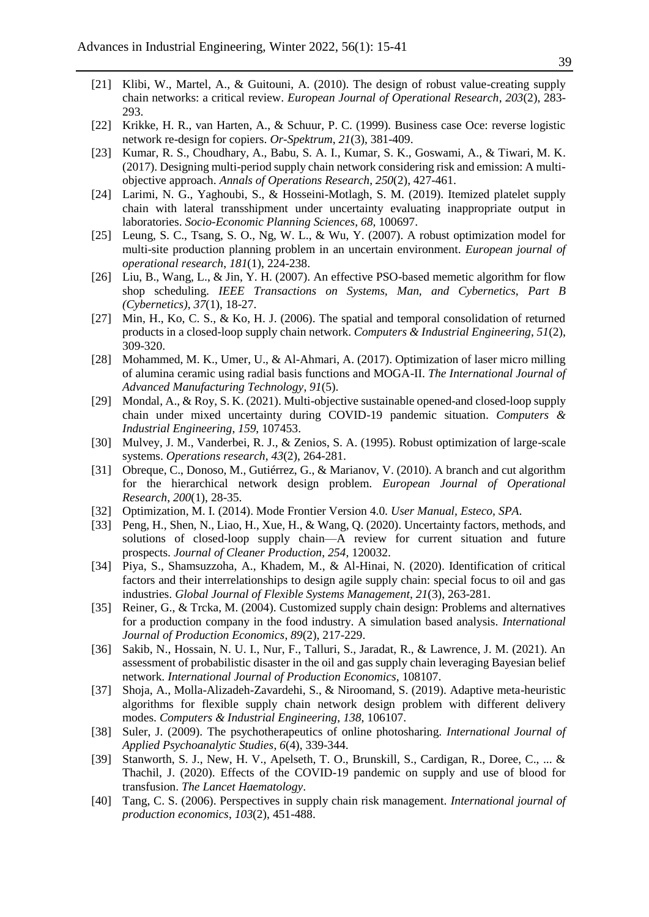- [21] Klibi, W., Martel, A., & Guitouni, A. (2010). The design of robust value-creating supply chain networks: a critical review. *European Journal of Operational Research*, *203*(2), 283- 293.
- <span id="page-24-1"></span>[22] Krikke, H. R., van Harten, A., & Schuur, P. C. (1999). Business case Oce: reverse logistic network re-design for copiers. *Or-Spektrum*, *21*(3), 381-409.
- [23] Kumar, R. S., Choudhary, A., Babu, S. A. I., Kumar, S. K., Goswami, A., & Tiwari, M. K. (2017). Designing multi-period supply chain network considering risk and emission: A multiobjective approach. *Annals of Operations Research*, *250*(2), 427-461.
- [24] Larimi, N. G., Yaghoubi, S., & Hosseini-Motlagh, S. M. (2019). Itemized platelet supply chain with lateral transshipment under uncertainty evaluating inappropriate output in laboratories. *Socio-Economic Planning Sciences*, *68*, 100697.
- <span id="page-24-2"></span>[25] Leung, S. C., Tsang, S. O., Ng, W. L., & Wu, Y. (2007). A robust optimization model for multi-site production planning problem in an uncertain environment. *European journal of operational research*, *181*(1), 224-238.
- [26] Liu, B., Wang, L., & Jin, Y. H. (2007). An effective PSO-based memetic algorithm for flow shop scheduling. *IEEE Transactions on Systems, Man, and Cybernetics, Part B (Cybernetics)*, *37*(1), 18-27.
- [27] Min, H., Ko, C. S., & Ko, H. J. (2006). The spatial and temporal consolidation of returned products in a closed-loop supply chain network. *Computers & Industrial Engineering*, *51*(2), 309-320.
- <span id="page-24-6"></span>[28] Mohammed, M. K., Umer, U., & Al-Ahmari, A. (2017). Optimization of laser micro milling of alumina ceramic using radial basis functions and MOGA-II. *The International Journal of Advanced Manufacturing Technology*, *91*(5).
- [29] Mondal, A., & Roy, S. K. (2021). Multi-objective sustainable opened-and closed-loop supply chain under mixed uncertainty during COVID-19 pandemic situation. *Computers & Industrial Engineering*, *159*, 107453.
- [30] Mulvey, J. M., Vanderbei, R. J., & Zenios, S. A. (1995). Robust optimization of large-scale systems. *Operations research*, *43*(2), 264-281.
- <span id="page-24-5"></span>[31] Obreque, C., Donoso, M., Gutiérrez, G., & Marianov, V. (2010). A branch and cut algorithm for the hierarchical network design problem. *European Journal of Operational Research*, *200*(1), 28-35.
- [32] Optimization, M. I. (2014). Mode Frontier Version 4.0. *User Manual, Esteco, SPA*.
- [33] Peng, H., Shen, N., Liao, H., Xue, H., & Wang, Q. (2020). Uncertainty factors, methods, and solutions of closed-loop supply chain—A review for current situation and future prospects. *Journal of Cleaner Production*, *254*, 120032.
- <span id="page-24-3"></span>[34] Piya, S., Shamsuzzoha, A., Khadem, M., & Al-Hinai, N. (2020). Identification of critical factors and their interrelationships to design agile supply chain: special focus to oil and gas industries. *Global Journal of Flexible Systems Management*, *21*(3), 263-281.
- [35] Reiner, G., & Trcka, M. (2004). Customized supply chain design: Problems and alternatives for a production company in the food industry. A simulation based analysis. *International Journal of Production Economics*, *89*(2), 217-229.
- [36] Sakib, N., Hossain, N. U. I., Nur, F., Talluri, S., Jaradat, R., & Lawrence, J. M. (2021). An assessment of probabilistic disaster in the oil and gas supply chain leveraging Bayesian belief network. *International Journal of Production Economics*, 108107.
- <span id="page-24-0"></span>[37] Shoja, A., Molla-Alizadeh-Zavardehi, S., & Niroomand, S. (2019). Adaptive meta-heuristic algorithms for flexible supply chain network design problem with different delivery modes. *Computers & Industrial Engineering*, *138*, 106107.
- [38] Suler, J. (2009). The psychotherapeutics of online photosharing. *International Journal of Applied Psychoanalytic Studies*, *6*(4), 339-344.
- [39] Stanworth, S. J., New, H. V., Apelseth, T. O., Brunskill, S., Cardigan, R., Doree, C., ... & Thachil, J. (2020). Effects of the COVID-19 pandemic on supply and use of blood for transfusion. *The Lancet Haematology*.
- <span id="page-24-4"></span>[40] Tang, C. S. (2006). Perspectives in supply chain risk management. *International journal of production economics*, *103*(2), 451-488.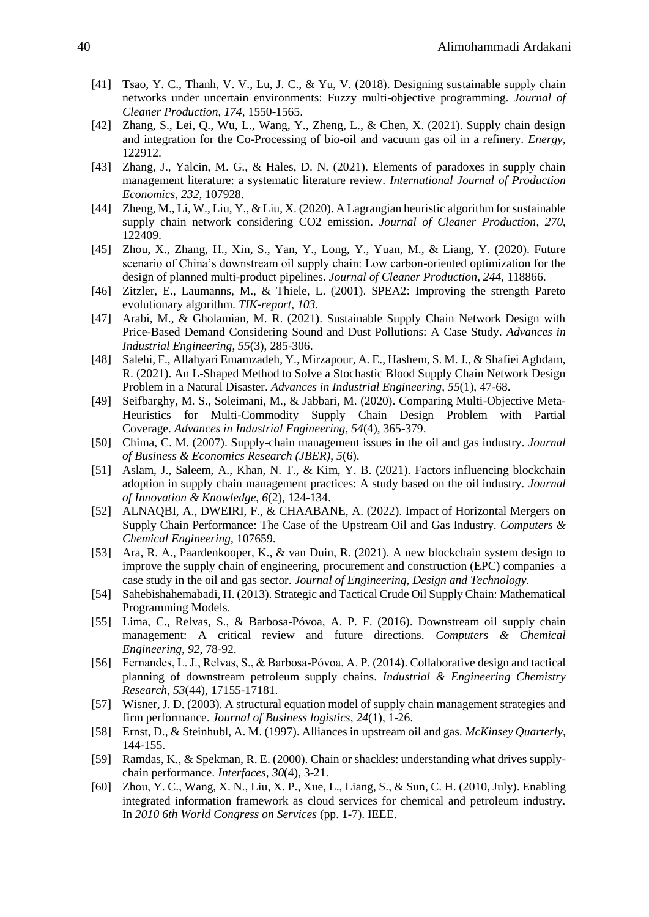- [41] Tsao, Y. C., Thanh, V. V., Lu, J. C., & Yu, V. (2018). Designing sustainable supply chain networks under uncertain environments: Fuzzy multi-objective programming. *Journal of Cleaner Production*, *174*, 1550-1565.
- [42] Zhang, S., Lei, Q., Wu, L., Wang, Y., Zheng, L., & Chen, X. (2021). Supply chain design and integration for the Co-Processing of bio-oil and vacuum gas oil in a refinery. *Energy*, 122912.
- <span id="page-25-0"></span>[43] Zhang, J., Yalcin, M. G., & Hales, D. N. (2021). Elements of paradoxes in supply chain management literature: a systematic literature review. *International Journal of Production Economics*, *232*, 107928.
- [44] Zheng, M., Li, W., Liu, Y., & Liu, X. (2020). A Lagrangian heuristic algorithm for sustainable supply chain network considering CO2 emission. *Journal of Cleaner Production*, *270*, 122409.
- [45] Zhou, X., Zhang, H., Xin, S., Yan, Y., Long, Y., Yuan, M., & Liang, Y. (2020). Future scenario of China's downstream oil supply chain: Low carbon-oriented optimization for the design of planned multi-product pipelines. *Journal of Cleaner Production*, *244*, 118866.
- <span id="page-25-6"></span>[46] Zitzler, E., Laumanns, M., & Thiele, L. (2001). SPEA2: Improving the strength Pareto evolutionary algorithm. *TIK-report*, *103*.
- [47] Arabi, M., & Gholamian, M. R. (2021). Sustainable Supply Chain Network Design with Price-Based Demand Considering Sound and Dust Pollutions: A Case Study. *Advances in Industrial Engineering*, *55*(3), 285-306.
- [48] Salehi, F., Allahyari Emamzadeh, Y., Mirzapour, A. E., Hashem, S. M. J., & Shafiei Aghdam, R. (2021). An L-Shaped Method to Solve a Stochastic Blood Supply Chain Network Design Problem in a Natural Disaster. *Advances in Industrial Engineering*, *55*(1), 47-68.
- <span id="page-25-1"></span>[49] Seifbarghy, M. S., Soleimani, M., & Jabbari, M. (2020). Comparing Multi-Objective Meta-Heuristics for Multi-Commodity Supply Chain Design Problem with Partial Coverage. *Advances in Industrial Engineering*, *54*(4), 365-379.
- [50] Chima, C. M. (2007). Supply-chain management issues in the oil and gas industry. *Journal of Business & Economics Research (JBER)*, *5*(6).
- [51] Aslam, J., Saleem, A., Khan, N. T., & Kim, Y. B. (2021). Factors influencing blockchain adoption in supply chain management practices: A study based on the oil industry. *Journal of Innovation & Knowledge*, *6*(2), 124-134.
- <span id="page-25-2"></span>[52] ALNAQBI, A., DWEIRI, F., & CHAABANE, A. (2022). Impact of Horizontal Mergers on Supply Chain Performance: The Case of the Upstream Oil and Gas Industry. *Computers & Chemical Engineering*, 107659.
- [53] Ara, R. A., Paardenkooper, K., & van Duin, R. (2021). A new blockchain system design to improve the supply chain of engineering, procurement and construction (EPC) companies–a case study in the oil and gas sector. *Journal of Engineering, Design and Technology*.
- [54] Sahebishahemabadi, H. (2013). Strategic and Tactical Crude Oil Supply Chain: Mathematical Programming Models.
- <span id="page-25-3"></span>[55] Lima, C., Relvas, S., & Barbosa-Póvoa, A. P. F. (2016). Downstream oil supply chain management: A critical review and future directions. *Computers & Chemical Engineering*, *92*, 78-92.
- [56] Fernandes, L. J., Relvas, S., & Barbosa-Póvoa, A. P. (2014). Collaborative design and tactical planning of downstream petroleum supply chains. *Industrial & Engineering Chemistry Research*, *53*(44), 17155-17181.
- [57] Wisner, J. D. (2003). A structural equation model of supply chain management strategies and firm performance. *Journal of Business logistics*, *24*(1), 1-26.
- <span id="page-25-4"></span>[58] Ernst, D., & Steinhubl, A. M. (1997). Alliances in upstream oil and gas. *McKinsey Quarterly*, 144-155.
- [59] Ramdas, K., & Spekman, R. E. (2000). Chain or shackles: understanding what drives supplychain performance. *Interfaces*, *30*(4), 3-21.
- <span id="page-25-5"></span>[60] Zhou, Y. C., Wang, X. N., Liu, X. P., Xue, L., Liang, S., & Sun, C. H. (2010, July). Enabling integrated information framework as cloud services for chemical and petroleum industry. In *2010 6th World Congress on Services* (pp. 1-7). IEEE.